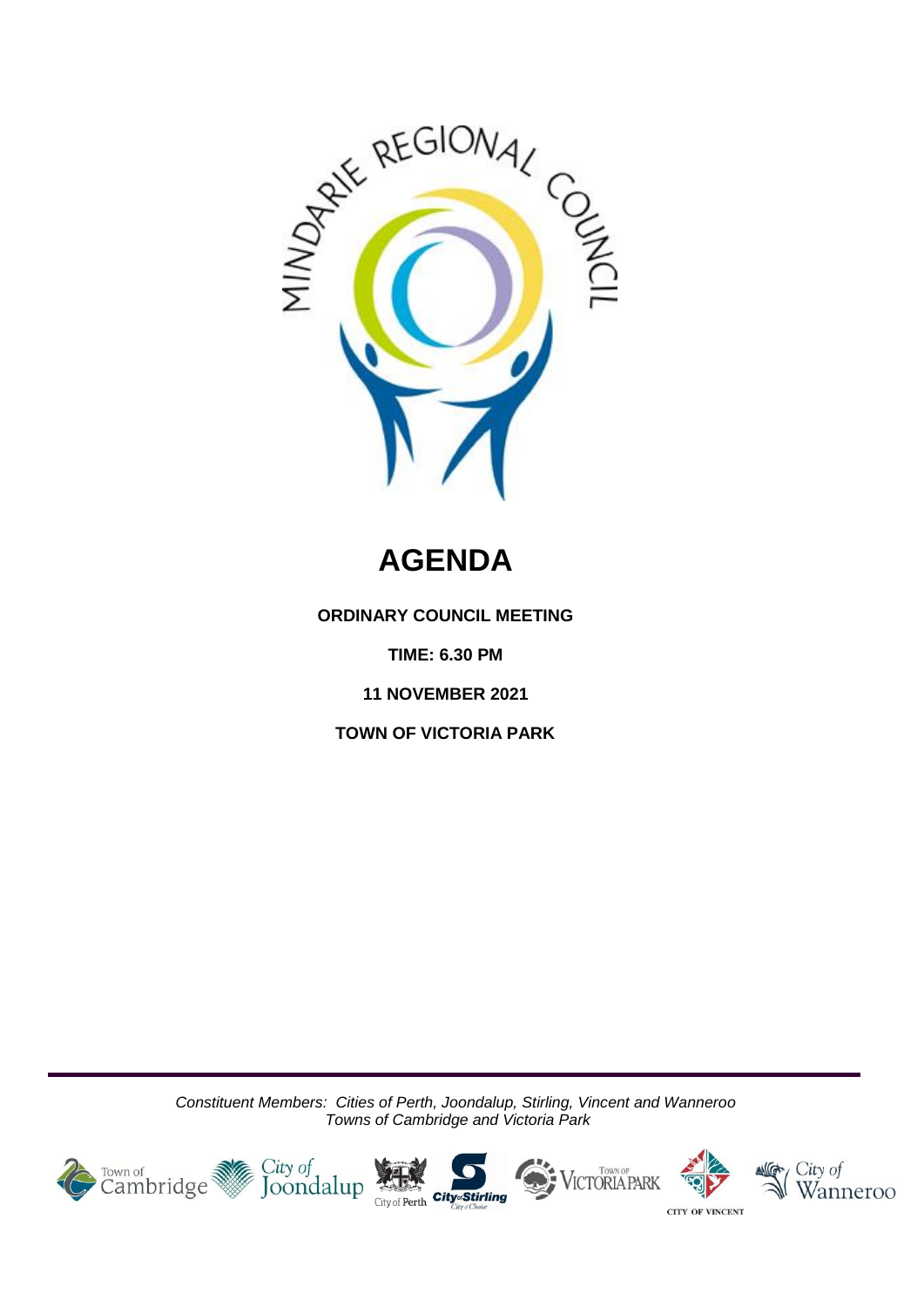

# **AGENDA**

**ORDINARY COUNCIL MEETING**

**TIME: 6.30 PM**

**11 NOVEMBER 2021**

**TOWN OF VICTORIA PARK**

*Constituent Members: Cities of Perth, Joondalup, Stirling, Vincent and Wanneroo Towns of Cambridge and Victoria Park*

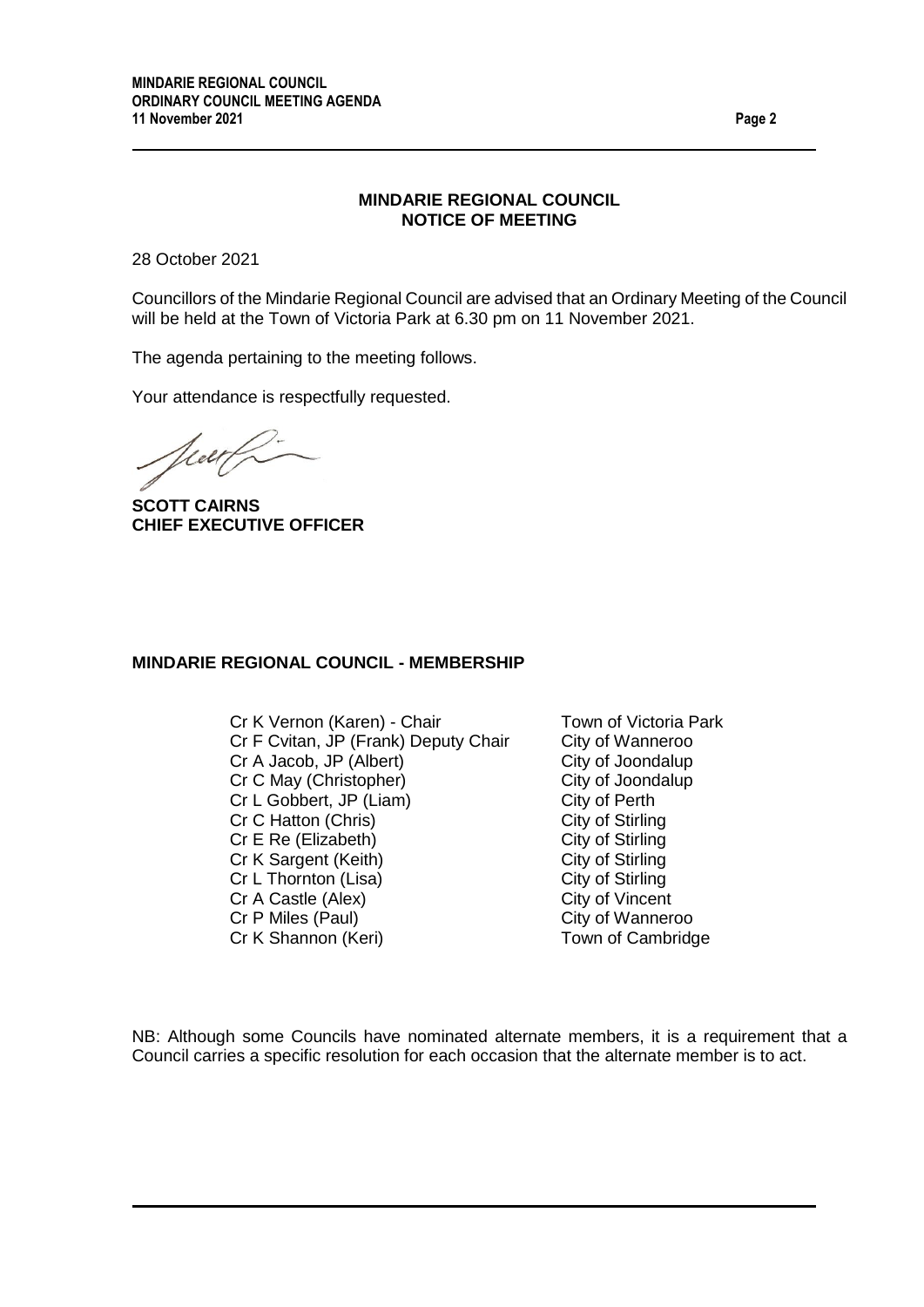### **MINDARIE REGIONAL COUNCIL NOTICE OF MEETING**

28 October 2021

Councillors of the Mindarie Regional Council are advised that an Ordinary Meeting of the Council will be held at the Town of Victoria Park at 6.30 pm on 11 November 2021.

The agenda pertaining to the meeting follows.

Your attendance is respectfully requested.

Mar/

**SCOTT CAIRNS CHIEF EXECUTIVE OFFICER**

#### **MINDARIE REGIONAL COUNCIL - MEMBERSHIP**

Cr K Vernon (Karen) - Chair Town of Victoria Park Cr F Cvitan, JP (Frank) Deputy Chair City of Wanneroo Cr A Jacob, JP (Albert) City of Joondalup Cr C May (Christopher) City of Joondalup Cr L Gobbert, JP (Liam) City of Perth Cr C Hatton (Chris) City of Stirling Cr E Re (Elizabeth) City of Stirling<br>
Cr K Sargent (Keith) City of Stirling Cr K Sargent (Keith) City of Stirling<br>
Cr L Thornton (Lisa) City of Stirling Cr L Thornton (Lisa) Cr A Castle (Alex) City of Vincent Cr P Miles (Paul) City of Wanneroo Cr K Shannon (Keri) Town of Cambridge

NB: Although some Councils have nominated alternate members, it is a requirement that a Council carries a specific resolution for each occasion that the alternate member is to act.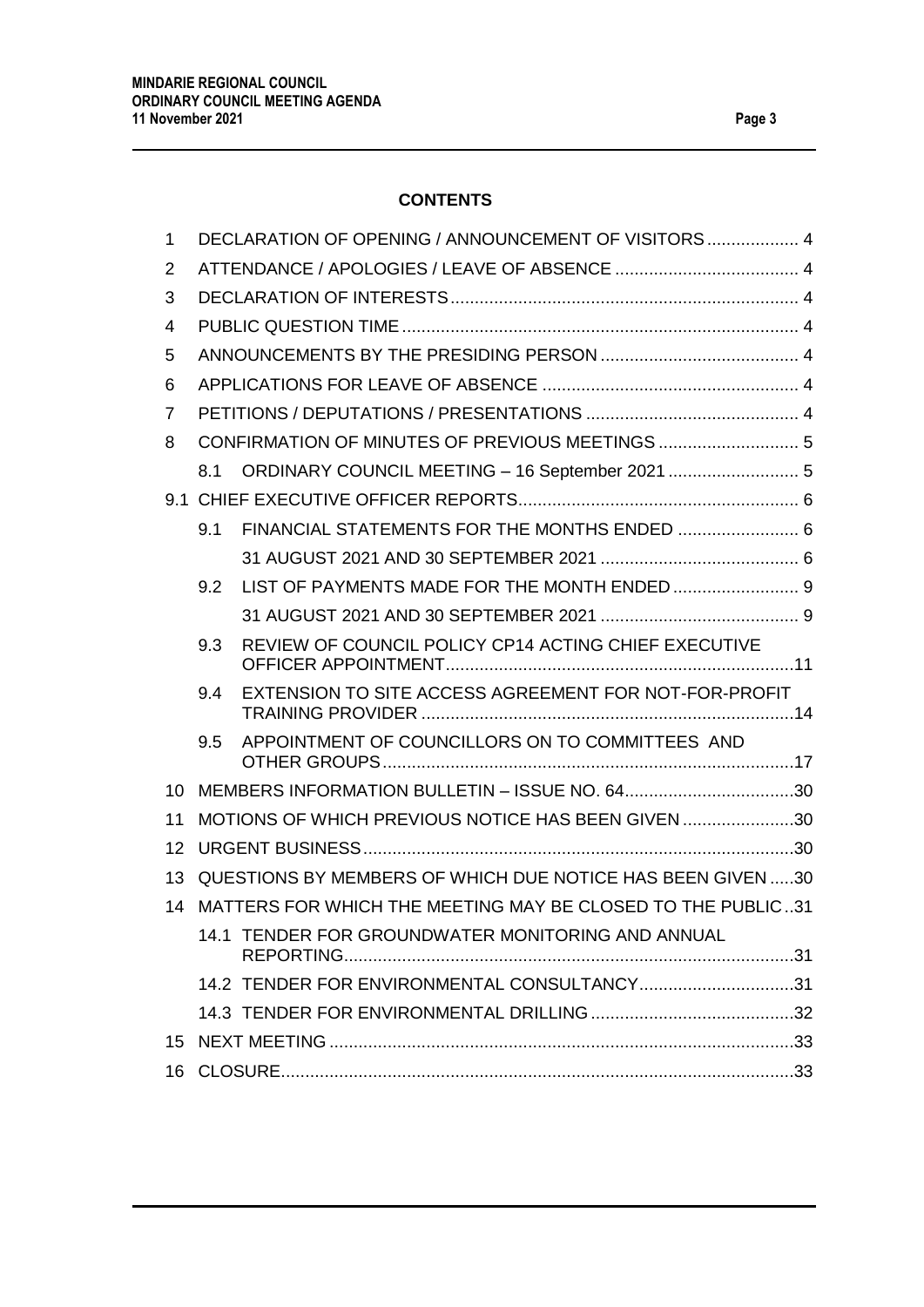# **CONTENTS**

| 1  | DECLARATION OF OPENING / ANNOUNCEMENT OF VISITORS 4 |                                                             |  |  |
|----|-----------------------------------------------------|-------------------------------------------------------------|--|--|
| 2  |                                                     |                                                             |  |  |
| 3  |                                                     |                                                             |  |  |
| 4  |                                                     |                                                             |  |  |
| 5  |                                                     |                                                             |  |  |
| 6  |                                                     |                                                             |  |  |
| 7  |                                                     |                                                             |  |  |
| 8  |                                                     |                                                             |  |  |
|    | 8.1                                                 | ORDINARY COUNCIL MEETING - 16 September 2021  5             |  |  |
|    |                                                     |                                                             |  |  |
|    | 9.1                                                 | FINANCIAL STATEMENTS FOR THE MONTHS ENDED  6                |  |  |
|    |                                                     |                                                             |  |  |
|    | 9.2                                                 |                                                             |  |  |
|    |                                                     |                                                             |  |  |
|    | 9.3                                                 | REVIEW OF COUNCIL POLICY CP14 ACTING CHIEF EXECUTIVE        |  |  |
|    | 9.4                                                 | EXTENSION TO SITE ACCESS AGREEMENT FOR NOT-FOR-PROFIT       |  |  |
|    | 9.5                                                 | APPOINTMENT OF COUNCILLORS ON TO COMMITTEES AND             |  |  |
| 10 |                                                     | MEMBERS INFORMATION BULLETIN - ISSUE NO. 6430               |  |  |
| 11 |                                                     | MOTIONS OF WHICH PREVIOUS NOTICE HAS BEEN GIVEN 30          |  |  |
| 12 |                                                     |                                                             |  |  |
| 13 |                                                     | QUESTIONS BY MEMBERS OF WHICH DUE NOTICE HAS BEEN GIVEN 30  |  |  |
| 14 |                                                     | MATTERS FOR WHICH THE MEETING MAY BE CLOSED TO THE PUBLIC31 |  |  |
|    |                                                     | 14.1 TENDER FOR GROUNDWATER MONITORING AND ANNUAL           |  |  |
|    |                                                     | 14.2 TENDER FOR ENVIRONMENTAL CONSULTANCY31                 |  |  |
|    |                                                     |                                                             |  |  |
| 15 |                                                     |                                                             |  |  |
|    |                                                     |                                                             |  |  |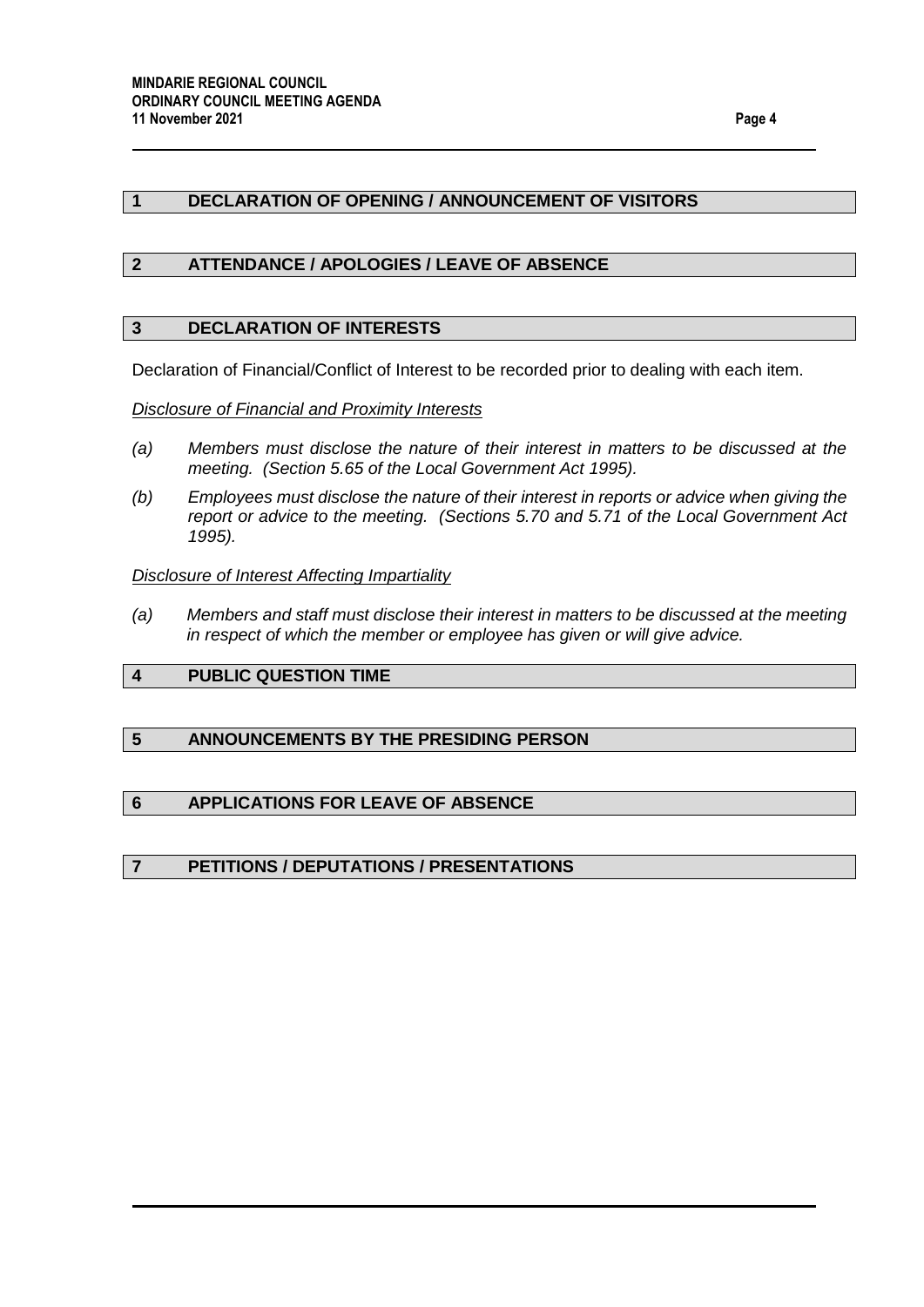## <span id="page-3-0"></span>**1 DECLARATION OF OPENING / ANNOUNCEMENT OF VISITORS**

### <span id="page-3-1"></span>**2 ATTENDANCE / APOLOGIES / LEAVE OF ABSENCE**

#### <span id="page-3-2"></span>**3 DECLARATION OF INTERESTS**

Declaration of Financial/Conflict of Interest to be recorded prior to dealing with each item.

#### *Disclosure of Financial and Proximity Interests*

- *(a) Members must disclose the nature of their interest in matters to be discussed at the meeting. (Section 5.65 of the Local Government Act 1995).*
- *(b) Employees must disclose the nature of their interest in reports or advice when giving the report or advice to the meeting. (Sections 5.70 and 5.71 of the Local Government Act 1995).*

#### *Disclosure of Interest Affecting Impartiality*

*(a) Members and staff must disclose their interest in matters to be discussed at the meeting in respect of which the member or employee has given or will give advice.*

## <span id="page-3-3"></span>**4 PUBLIC QUESTION TIME**

## <span id="page-3-4"></span>**5 ANNOUNCEMENTS BY THE PRESIDING PERSON**

## <span id="page-3-5"></span>**6 APPLICATIONS FOR LEAVE OF ABSENCE**

#### <span id="page-3-6"></span>**7 PETITIONS / DEPUTATIONS / PRESENTATIONS**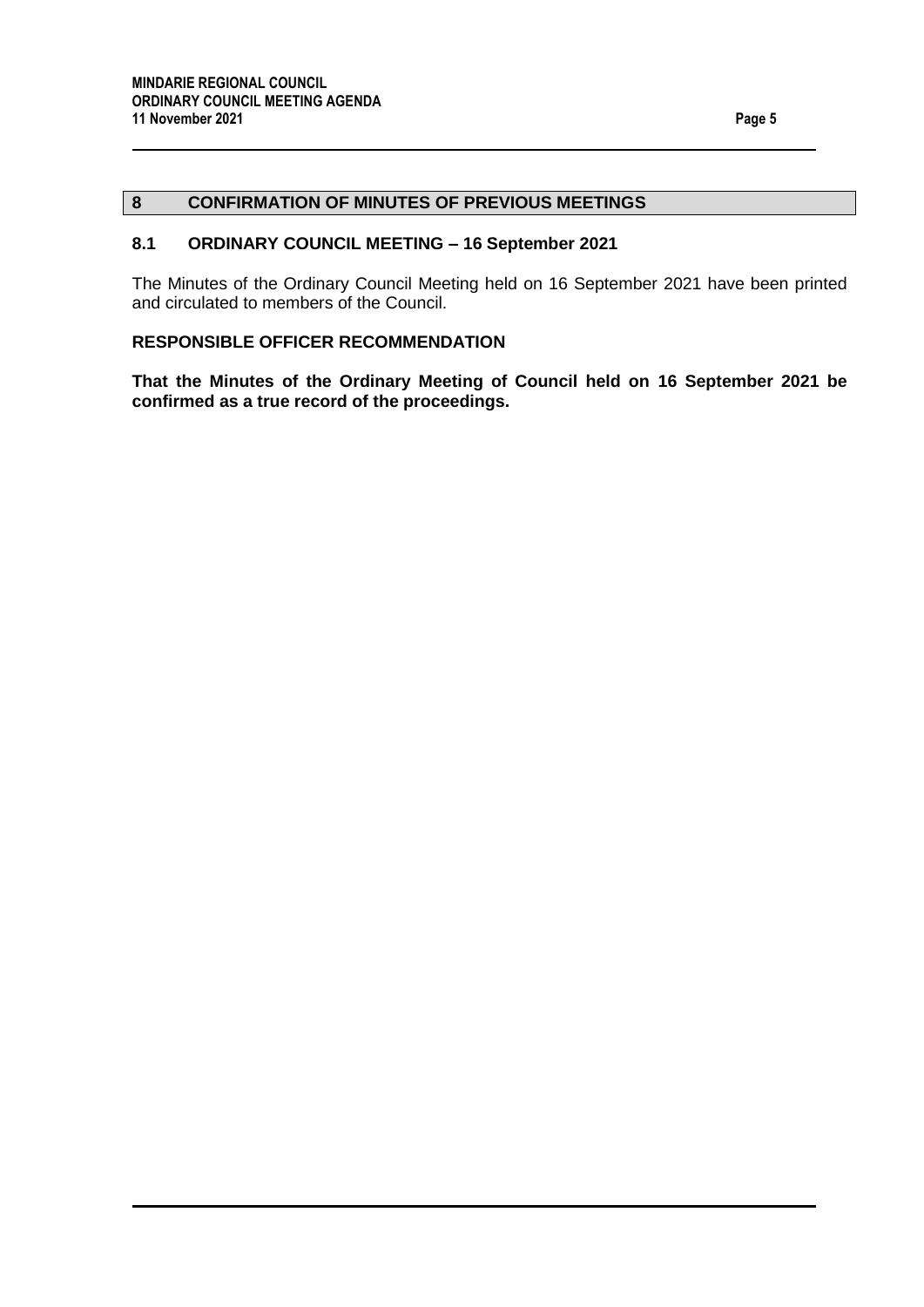## <span id="page-4-0"></span>**8 CONFIRMATION OF MINUTES OF PREVIOUS MEETINGS**

### <span id="page-4-1"></span>**8.1 ORDINARY COUNCIL MEETING – 16 September 2021**

The Minutes of the Ordinary Council Meeting held on 16 September 2021 have been printed and circulated to members of the Council.

#### **RESPONSIBLE OFFICER RECOMMENDATION**

**That the Minutes of the Ordinary Meeting of Council held on 16 September 2021 be confirmed as a true record of the proceedings.**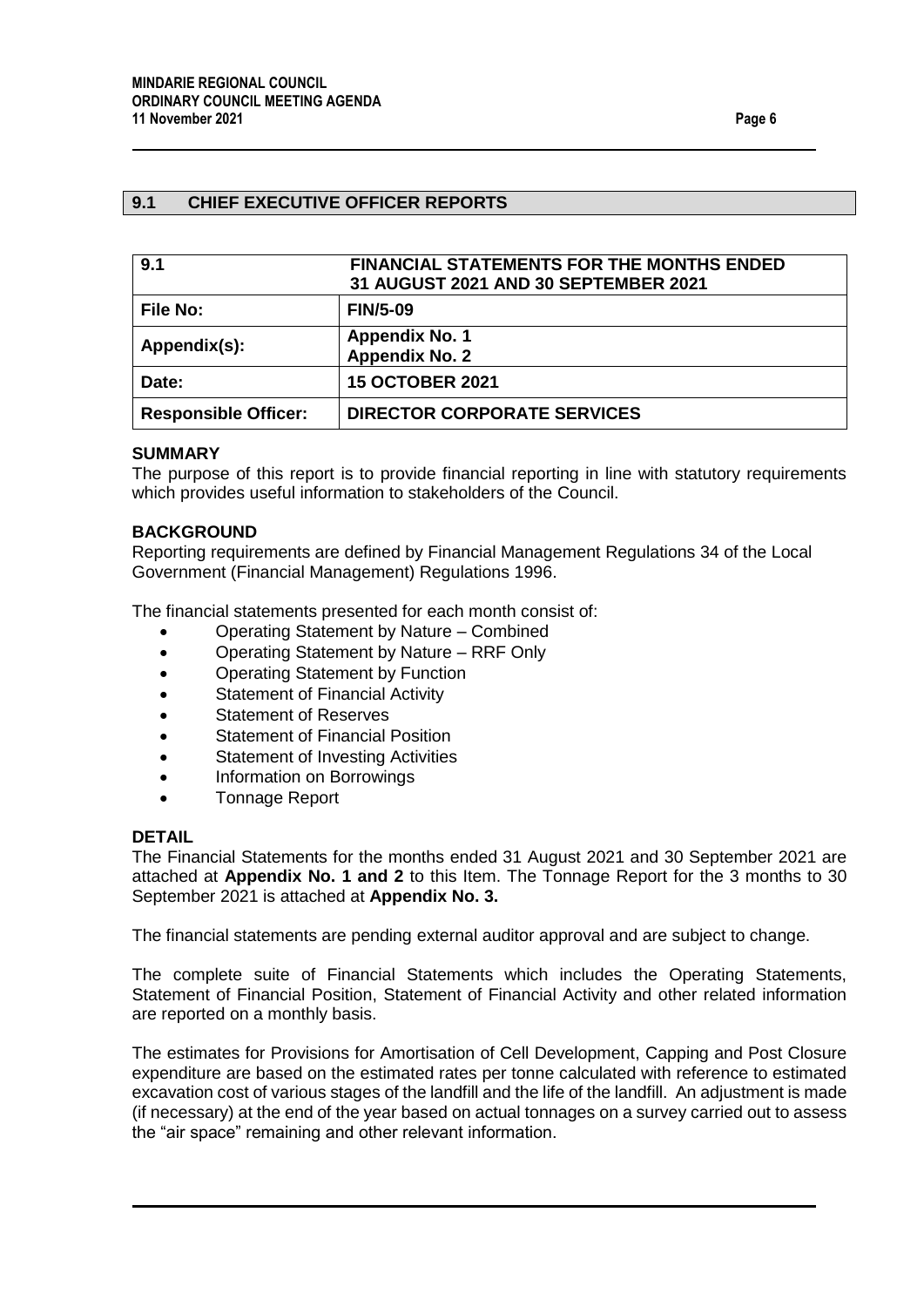## <span id="page-5-0"></span>**9.1 CHIEF EXECUTIVE OFFICER REPORTS**

<span id="page-5-2"></span><span id="page-5-1"></span>

| 9.1                         | <b>FINANCIAL STATEMENTS FOR THE MONTHS ENDED</b><br>31 AUGUST 2021 AND 30 SEPTEMBER 2021 |  |
|-----------------------------|------------------------------------------------------------------------------------------|--|
| <b>File No:</b>             | <b>FIN/5-09</b>                                                                          |  |
| Appendix(s):                | <b>Appendix No. 1</b><br><b>Appendix No. 2</b>                                           |  |
| Date:                       | <b>15 OCTOBER 2021</b>                                                                   |  |
| <b>Responsible Officer:</b> | <b>DIRECTOR CORPORATE SERVICES</b>                                                       |  |

#### **SUMMARY**

The purpose of this report is to provide financial reporting in line with statutory requirements which provides useful information to stakeholders of the Council.

#### **BACKGROUND**

Reporting requirements are defined by Financial Management Regulations 34 of the Local Government (Financial Management) Regulations 1996.

The financial statements presented for each month consist of:

- Operating Statement by Nature Combined
- Operating Statement by Nature RRF Only
- Operating Statement by Function
- Statement of Financial Activity
- Statement of Reserves
- Statement of Financial Position
- Statement of Investing Activities
- Information on Borrowings
- Tonnage Report

#### **DETAIL**

The Financial Statements for the months ended 31 August 2021 and 30 September 2021 are attached at **Appendix No. 1 and 2** to this Item. The Tonnage Report for the 3 months to 30 September 2021 is attached at **Appendix No. 3.**

The financial statements are pending external auditor approval and are subject to change.

The complete suite of Financial Statements which includes the Operating Statements, Statement of Financial Position, Statement of Financial Activity and other related information are reported on a monthly basis.

The estimates for Provisions for Amortisation of Cell Development, Capping and Post Closure expenditure are based on the estimated rates per tonne calculated with reference to estimated excavation cost of various stages of the landfill and the life of the landfill. An adjustment is made (if necessary) at the end of the year based on actual tonnages on a survey carried out to assess the "air space" remaining and other relevant information.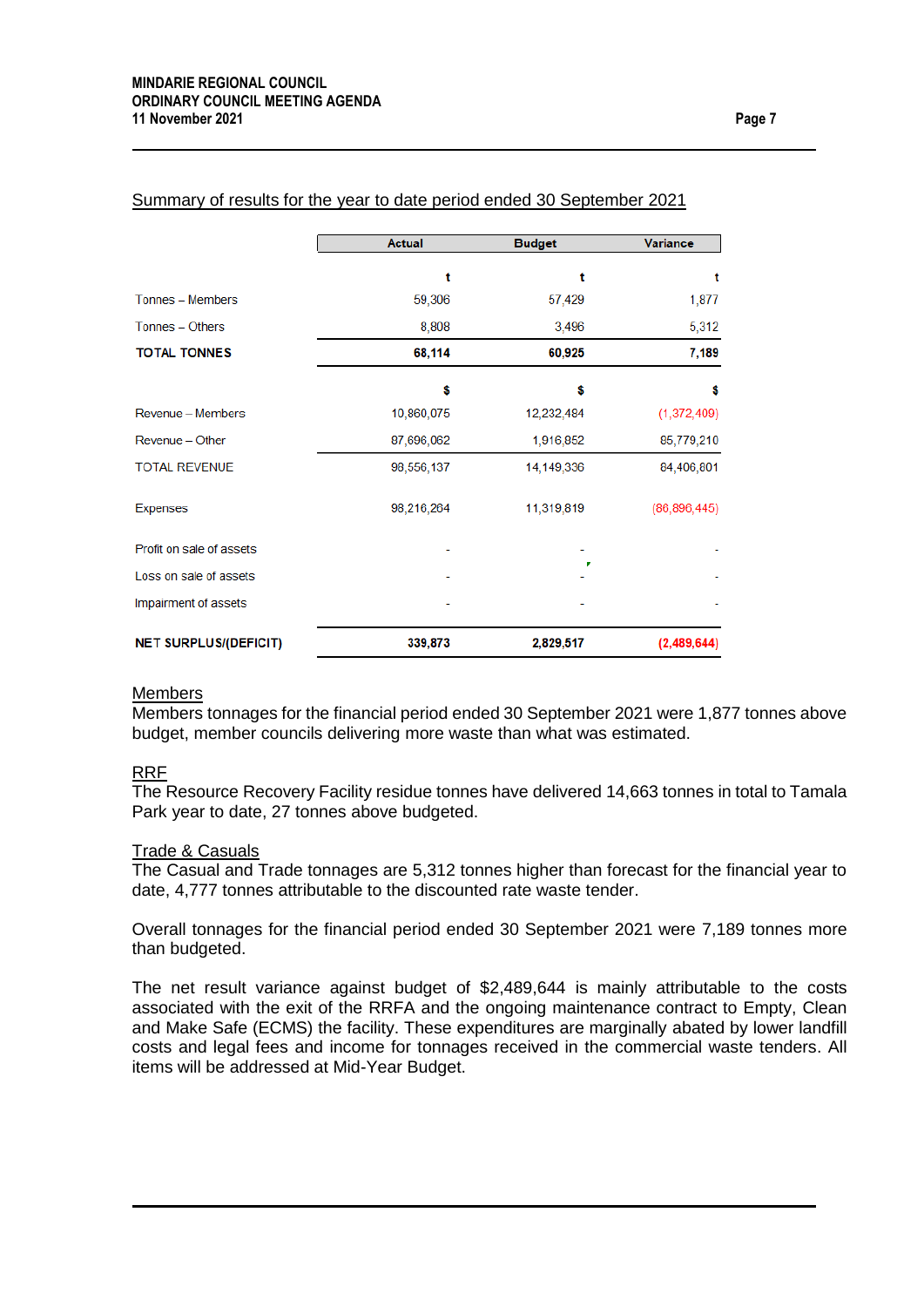|                              | <b>Actual</b> | <b>Budget</b> | <b>Variance</b> |
|------------------------------|---------------|---------------|-----------------|
|                              | t             | t             | t               |
| Tonnes - Members             | 59,306        | 57,429        | 1,877           |
| Tonnes - Others              | 8,808         | 3,496         | 5,312           |
| <b>TOTAL TONNES</b>          | 68,114        | 60,925        | 7,189           |
|                              | Ŝ             | \$            | \$              |
| Revenue - Members            | 10,860,075    | 12,232,484    | (1,372,409)     |
| Revenue - Other              | 87,696,062    | 1,916,852     | 85,779,210      |
| <b>TOTAL REVENUE</b>         | 98,556,137    | 14, 149, 336  | 84,406,801      |
| <b>Expenses</b>              | 98,216,264    | 11,319,819    | (86, 896, 445)  |
| Profit on sale of assets     |               |               |                 |
| Loss on sale of assets       |               |               |                 |
| Impairment of assets         |               |               |                 |
| <b>NET SURPLUS/(DEFICIT)</b> | 339,873       | 2,829,517     | (2,489,644)     |

## Summary of results for the year to date period ended 30 September 2021

#### **Members**

Members tonnages for the financial period ended 30 September 2021 were 1,877 tonnes above budget, member councils delivering more waste than what was estimated.

#### RRF

The Resource Recovery Facility residue tonnes have delivered 14,663 tonnes in total to Tamala Park year to date, 27 tonnes above budgeted.

#### Trade & Casuals

The Casual and Trade tonnages are 5,312 tonnes higher than forecast for the financial year to date, 4,777 tonnes attributable to the discounted rate waste tender.

Overall tonnages for the financial period ended 30 September 2021 were 7,189 tonnes more than budgeted.

The net result variance against budget of \$2,489,644 is mainly attributable to the costs associated with the exit of the RRFA and the ongoing maintenance contract to Empty, Clean and Make Safe (ECMS) the facility. These expenditures are marginally abated by lower landfill costs and legal fees and income for tonnages received in the commercial waste tenders. All items will be addressed at Mid-Year Budget.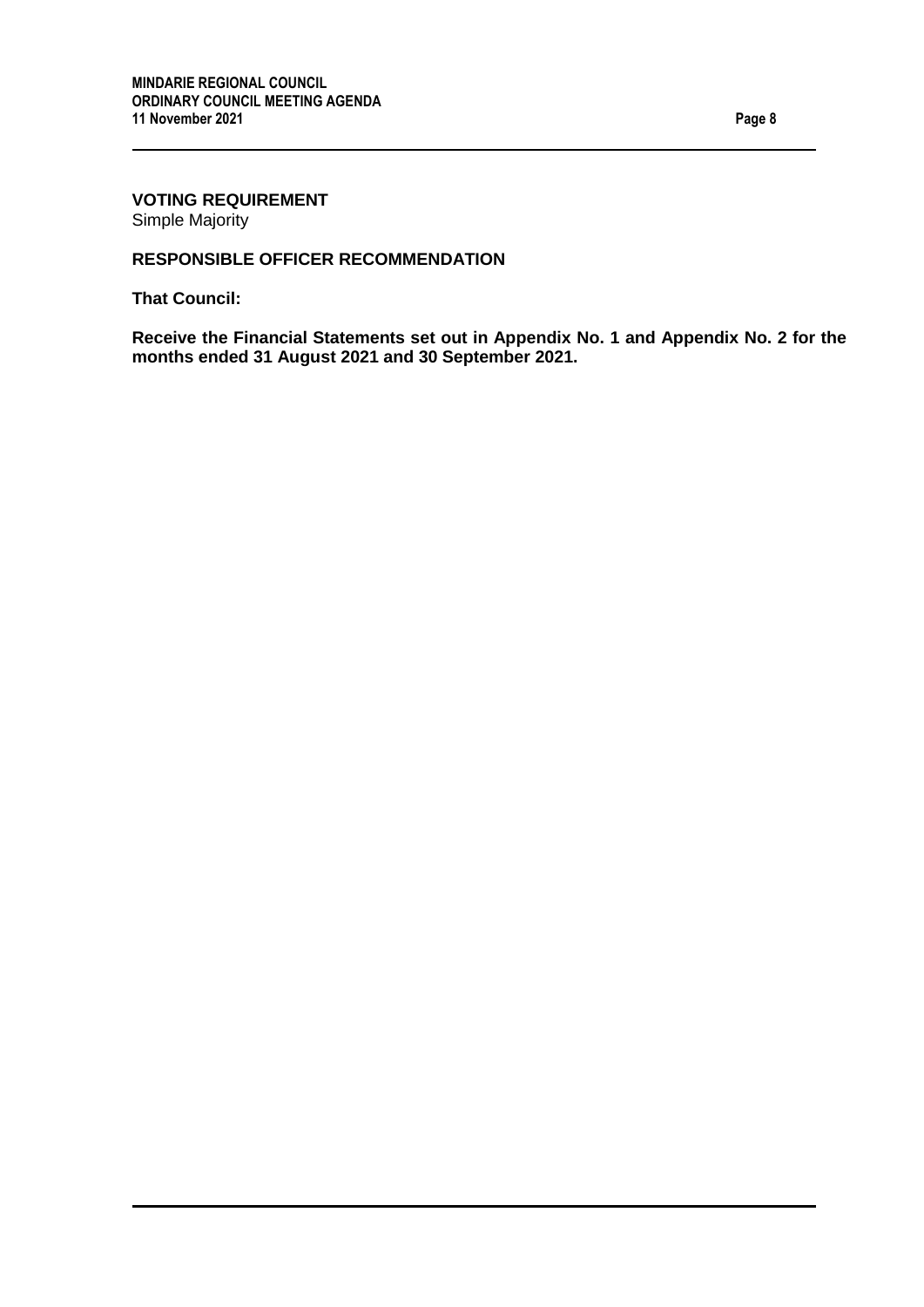## **VOTING REQUIREMENT** Simple Majority

## **RESPONSIBLE OFFICER RECOMMENDATION**

**That Council:**

**Receive the Financial Statements set out in Appendix No. 1 and Appendix No. 2 for the months ended 31 August 2021 and 30 September 2021.**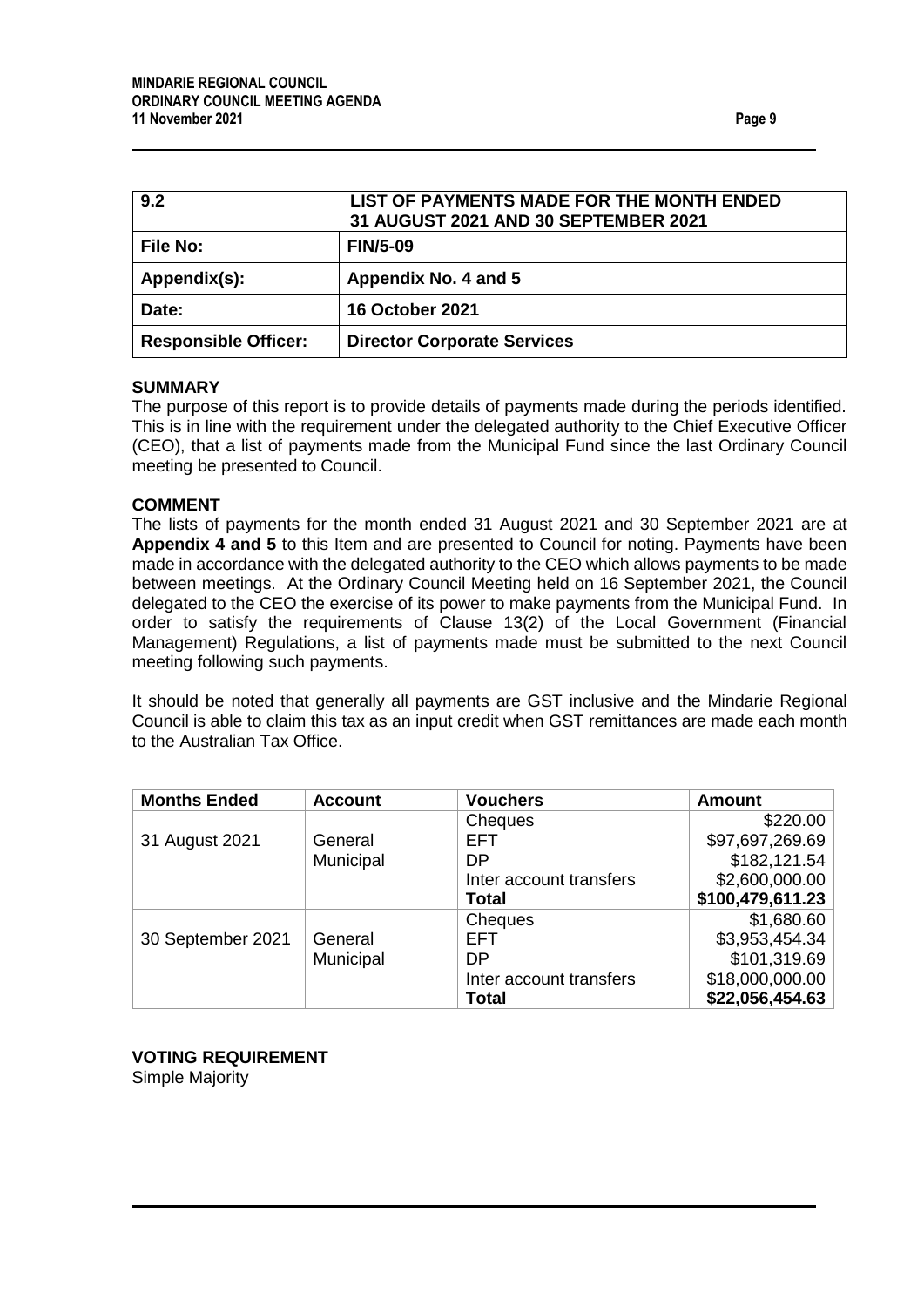<span id="page-8-1"></span><span id="page-8-0"></span>

| 9.2                         | LIST OF PAYMENTS MADE FOR THE MONTH ENDED<br>31 AUGUST 2021 AND 30 SEPTEMBER 2021 |
|-----------------------------|-----------------------------------------------------------------------------------|
| <b>File No:</b>             | <b>FIN/5-09</b>                                                                   |
| Appendix(s):                | Appendix No. 4 and 5                                                              |
| Date:                       | <b>16 October 2021</b>                                                            |
| <b>Responsible Officer:</b> | <b>Director Corporate Services</b>                                                |

#### **SUMMARY**

The purpose of this report is to provide details of payments made during the periods identified. This is in line with the requirement under the delegated authority to the Chief Executive Officer (CEO), that a list of payments made from the Municipal Fund since the last Ordinary Council meeting be presented to Council.

## **COMMENT**

The lists of payments for the month ended 31 August 2021 and 30 September 2021 are at **Appendix 4 and 5** to this Item and are presented to Council for noting. Payments have been made in accordance with the delegated authority to the CEO which allows payments to be made between meetings. At the Ordinary Council Meeting held on 16 September 2021, the Council delegated to the CEO the exercise of its power to make payments from the Municipal Fund. In order to satisfy the requirements of Clause 13(2) of the Local Government (Financial Management) Regulations, a list of payments made must be submitted to the next Council meeting following such payments.

It should be noted that generally all payments are GST inclusive and the Mindarie Regional Council is able to claim this tax as an input credit when GST remittances are made each month to the Australian Tax Office.

| <b>Months Ended</b> | <b>Account</b> | <b>Vouchers</b>         | <b>Amount</b>    |
|---------------------|----------------|-------------------------|------------------|
|                     |                | Cheques                 | \$220.00         |
| 31 August 2021      | General        | EFT.                    | \$97,697,269.69  |
|                     | Municipal      | DP                      | \$182,121.54     |
|                     |                | Inter account transfers | \$2,600,000.00   |
|                     |                | Total                   | \$100,479,611.23 |
|                     |                | Cheques                 | \$1,680.60       |
| 30 September 2021   | General        | EFT                     | \$3,953,454.34   |
|                     | Municipal      | DP                      | \$101,319.69     |
|                     |                | Inter account transfers | \$18,000,000.00  |
|                     |                | <b>Total</b>            | \$22,056,454.63  |

**VOTING REQUIREMENT** Simple Majority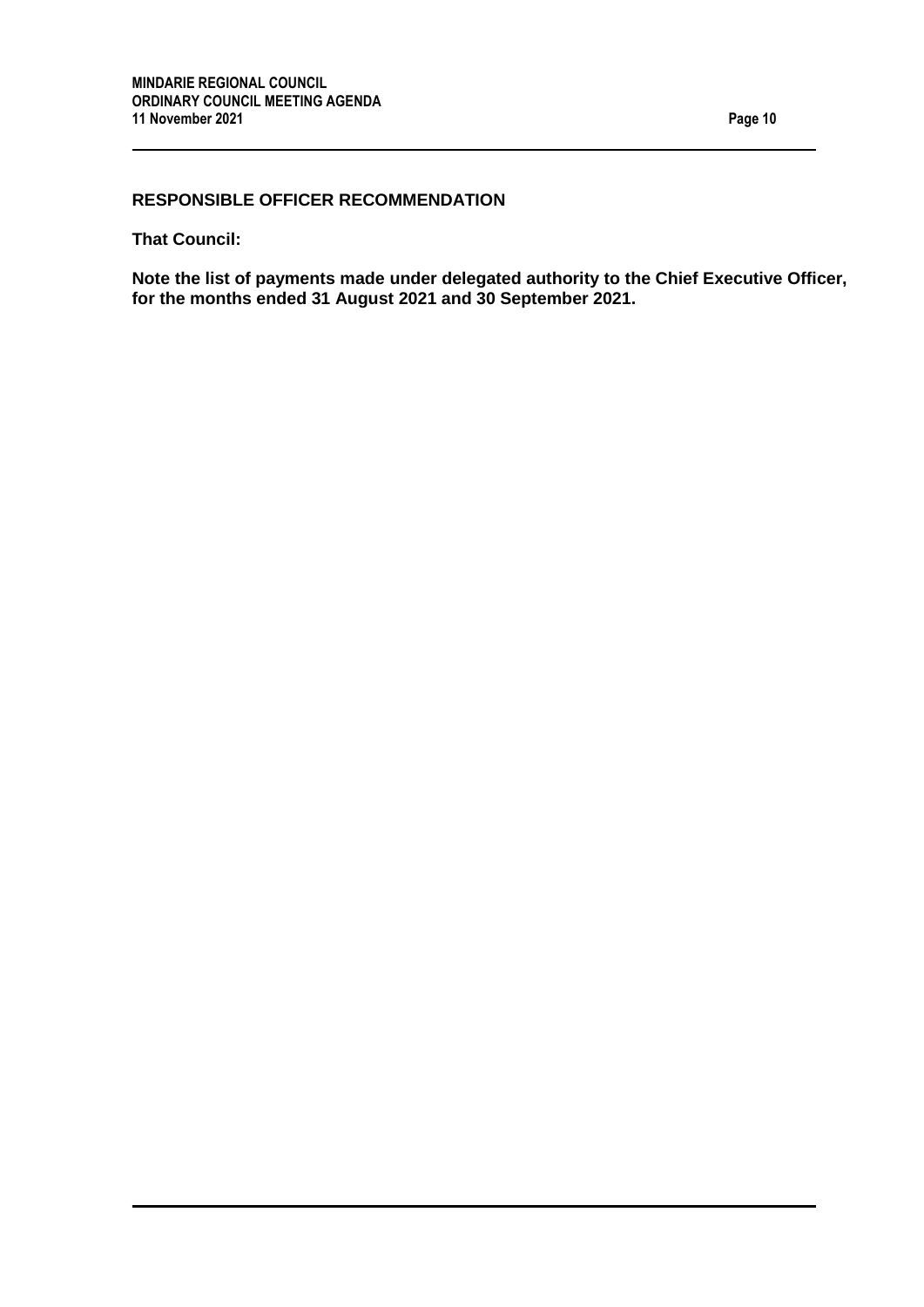## **RESPONSIBLE OFFICER RECOMMENDATION**

**That Council:**

**Note the list of payments made under delegated authority to the Chief Executive Officer, for the months ended 31 August 2021 and 30 September 2021.**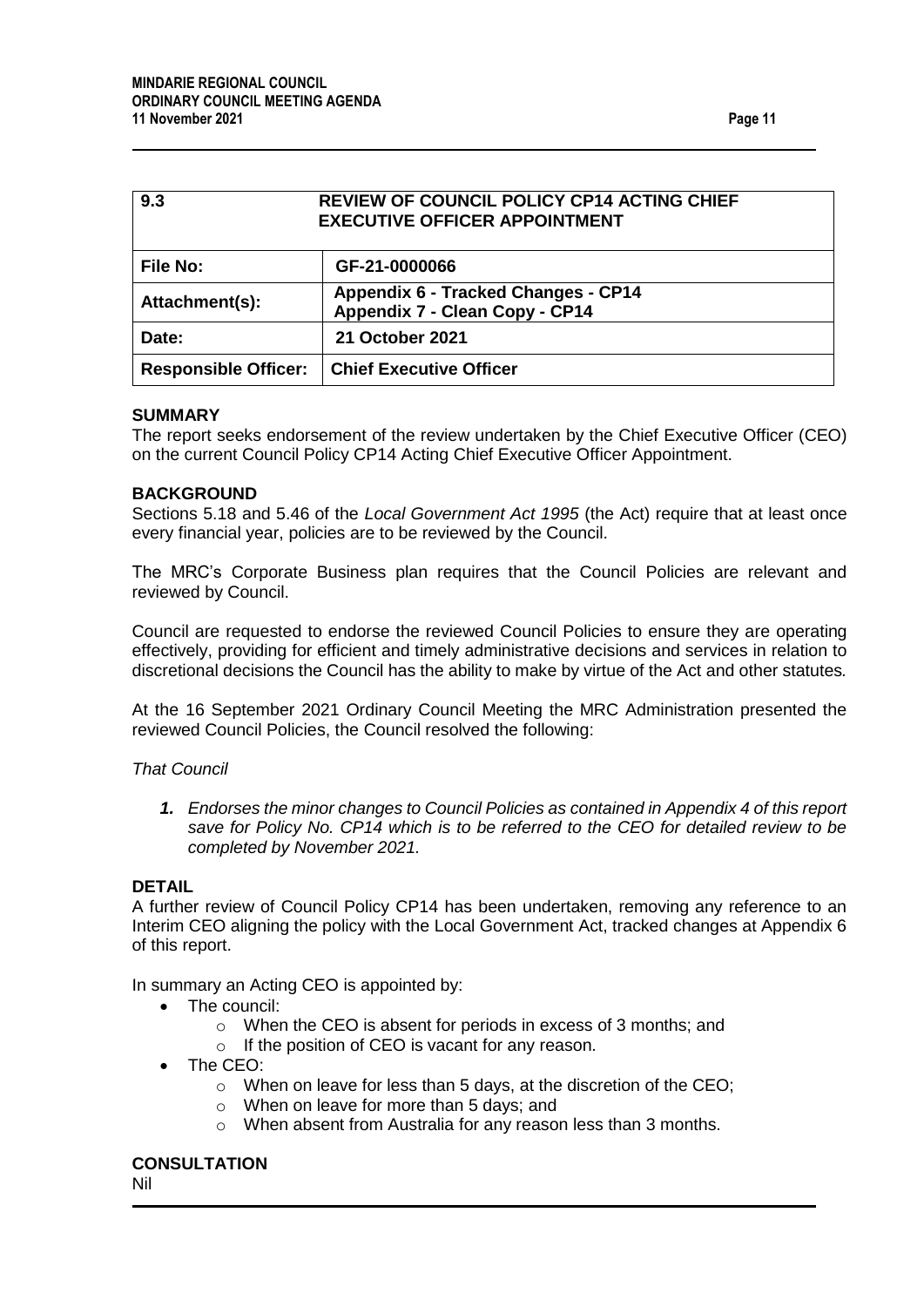<span id="page-10-0"></span>

| <b>REVIEW OF COUNCIL POLICY CP14 ACTING CHIEF</b><br>9.3<br><b>EXECUTIVE OFFICER APPOINTMENT</b> |                                                                       |  |
|--------------------------------------------------------------------------------------------------|-----------------------------------------------------------------------|--|
| <b>File No:</b>                                                                                  | GF-21-0000066                                                         |  |
| Attachment(s):                                                                                   | Appendix 6 - Tracked Changes - CP14<br>Appendix 7 - Clean Copy - CP14 |  |
| Date:                                                                                            | 21 October 2021                                                       |  |
| <b>Responsible Officer:</b>                                                                      | <b>Chief Executive Officer</b>                                        |  |

#### **SUMMARY**

The report seeks endorsement of the review undertaken by the Chief Executive Officer (CEO) on the current Council Policy CP14 Acting Chief Executive Officer Appointment.

#### **BACKGROUND**

Sections 5.18 and 5.46 of the *Local Government Act 1995* (the Act) require that at least once every financial year, policies are to be reviewed by the Council.

The MRC's Corporate Business plan requires that the Council Policies are relevant and reviewed by Council.

Council are requested to endorse the reviewed Council Policies to ensure they are operating effectively, providing for efficient and timely administrative decisions and services in relation to discretional decisions the Council has the ability to make by virtue of the Act and other statutes*.* 

At the 16 September 2021 Ordinary Council Meeting the MRC Administration presented the reviewed Council Policies, the Council resolved the following:

#### *That Council*

*1. Endorses the minor changes to Council Policies as contained in Appendix 4 of this report save for Policy No. CP14 which is to be referred to the CEO for detailed review to be completed by November 2021.*

#### **DETAIL**

A further review of Council Policy CP14 has been undertaken, removing any reference to an Interim CEO aligning the policy with the Local Government Act, tracked changes at Appendix 6 of this report.

In summary an Acting CEO is appointed by:

- The council:
	- o When the CEO is absent for periods in excess of 3 months; and
	- o If the position of CEO is vacant for any reason.
- The CEO:
	- o When on leave for less than 5 days, at the discretion of the CEO;
	- o When on leave for more than 5 days; and
	- o When absent from Australia for any reason less than 3 months.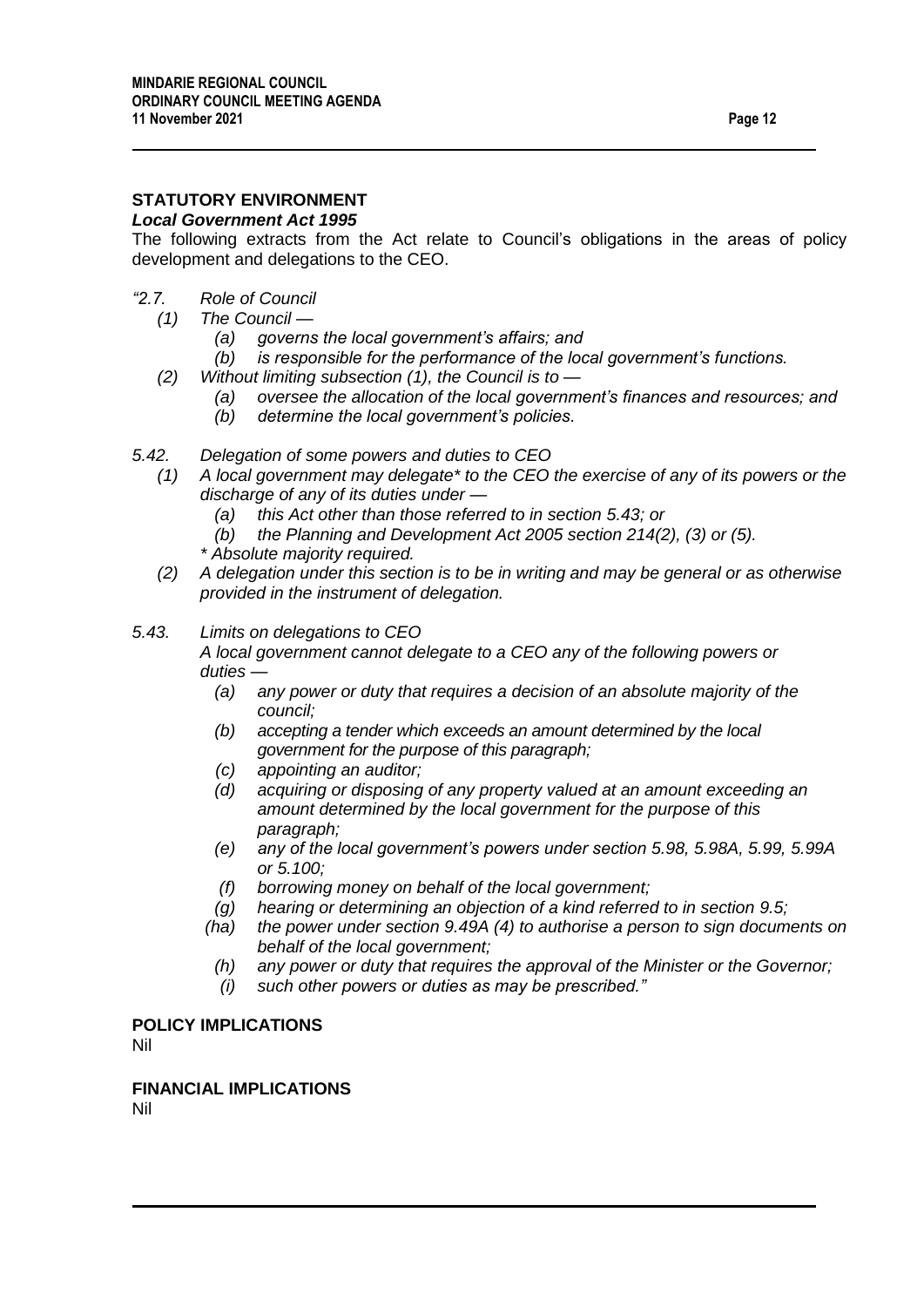# **STATUTORY ENVIRONMENT**

#### *Local Government Act 1995*

The following extracts from the Act relate to Council's obligations in the areas of policy development and delegations to the CEO.

- *"2.7. Role of Council*
	- *(1) The Council —*
		- *(a) governs the local government's affairs; and*
		- *(b) is responsible for the performance of the local government's functions.*
	- *(2) Without limiting subsection (1), the Council is to —*
		- *(a) oversee the allocation of the local government's finances and resources; and*
		- *(b) determine the local government's policies.*
- *5.42. Delegation of some powers and duties to CEO*
	- *(1) A local government may delegate\* to the CEO the exercise of any of its powers or the discharge of any of its duties under —*
		- *(a) this Act other than those referred to in section 5.43; or*
		- *(b) the Planning and Development Act 2005 section 214(2), (3) or (5).*
		- *\* Absolute majority required.*
	- *(2) A delegation under this section is to be in writing and may be general or as otherwise provided in the instrument of delegation.*
- *5.43. Limits on delegations to CEO*

*A local government cannot delegate to a CEO any of the following powers or duties —*

- *(a) any power or duty that requires a decision of an absolute majority of the council;*
- *(b) accepting a tender which exceeds an amount determined by the local government for the purpose of this paragraph;*
- *(c) appointing an auditor;*
- *(d) acquiring or disposing of any property valued at an amount exceeding an amount determined by the local government for the purpose of this paragraph;*
- *(e) any of the local government's powers under section 5.98, 5.98A, 5.99, 5.99A or 5.100;*
- *(f) borrowing money on behalf of the local government;*
- *(g) hearing or determining an objection of a kind referred to in section 9.5;*
- *(ha) the power under section 9.49A (4) to authorise a person to sign documents on behalf of the local government;*
- *(h) any power or duty that requires the approval of the Minister or the Governor;*
- *(i) such other powers or duties as may be prescribed."*

## **POLICY IMPLICATIONS**

Nil

**FINANCIAL IMPLICATIONS**

Nil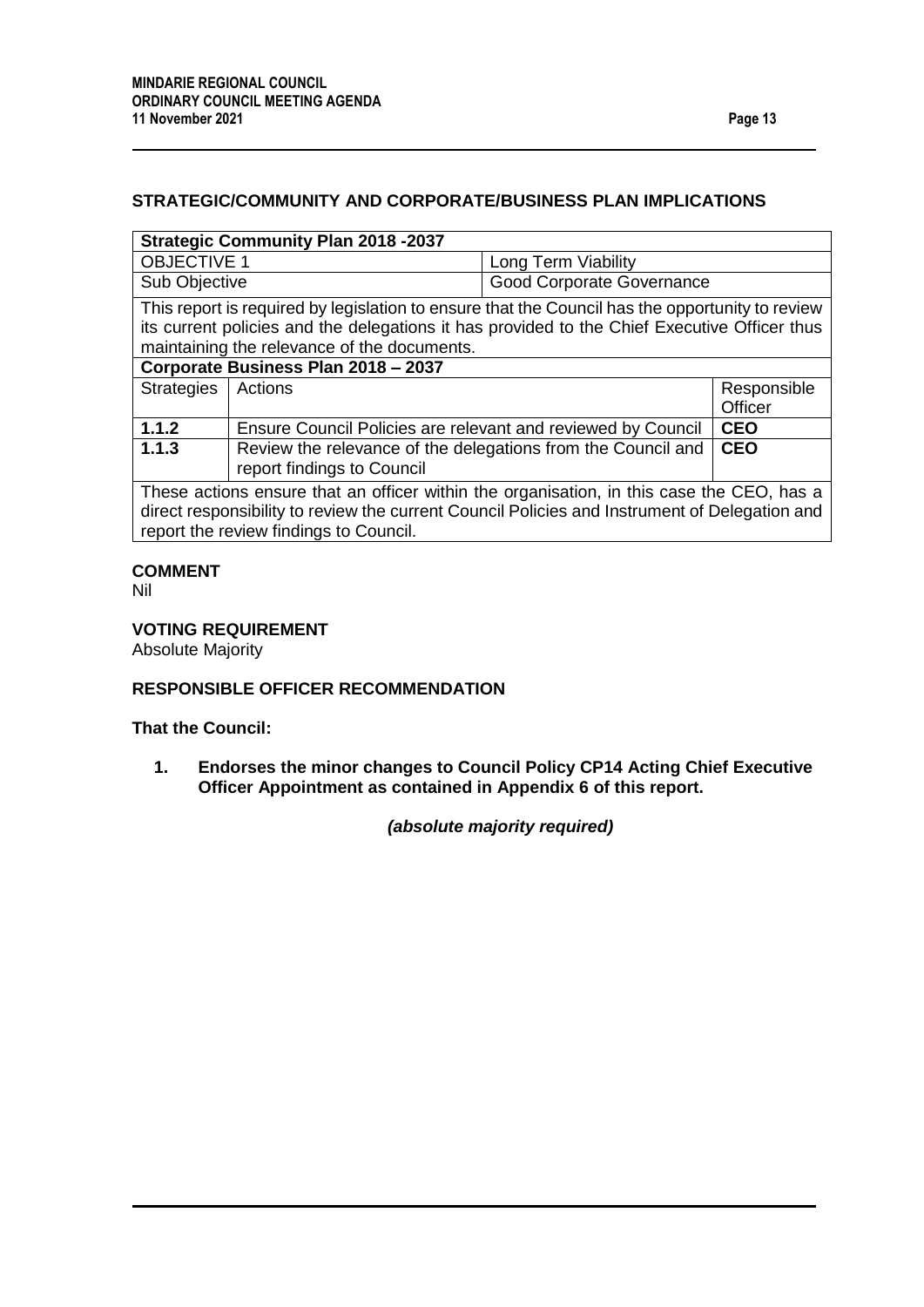## **STRATEGIC/COMMUNITY AND CORPORATE/BUSINESS PLAN IMPLICATIONS**

## **Strategic Community Plan 2018 -2037**

| <b>OBJECTIVE 1</b>                                                                       | Long Term Viability                    |
|------------------------------------------------------------------------------------------|----------------------------------------|
| Sub Objective                                                                            | <sup>1</sup> Good Corporate Governance |
| This report is required by legislation to ensure that the Council has the opportunity to |                                        |

This report is required by legislation to ensure that the Council has the opportunity to review its current policies and the delegations it has provided to the Chief Executive Officer thus maintaining the relevance of the documents.

| Corporate Business Plan 2018 - 2037                                                     |                                                                                                  |             |
|-----------------------------------------------------------------------------------------|--------------------------------------------------------------------------------------------------|-------------|
| Strategies   Actions                                                                    |                                                                                                  | Responsible |
|                                                                                         |                                                                                                  | Officer     |
| 1.1.2                                                                                   | Ensure Council Policies are relevant and reviewed by Council                                     | <b>CEO</b>  |
| 1.1.3                                                                                   | Review the relevance of the delegations from the Council and   CEO<br>report findings to Council |             |
|                                                                                         |                                                                                                  |             |
| These actions ensure that an officer within the organisation in this case the CEO has a |                                                                                                  |             |

 $\bm{\theta}$  actions ensure that an officer within the organisation, in this case the CEO, has a direct responsibility to review the current Council Policies and Instrument of Delegation and report the review findings to Council.

## **COMMENT**

Nil

## **VOTING REQUIREMENT**

Absolute Majority

## **RESPONSIBLE OFFICER RECOMMENDATION**

## **That the Council:**

**1. Endorses the minor changes to Council Policy CP14 Acting Chief Executive Officer Appointment as contained in Appendix 6 of this report.**

*(absolute majority required)*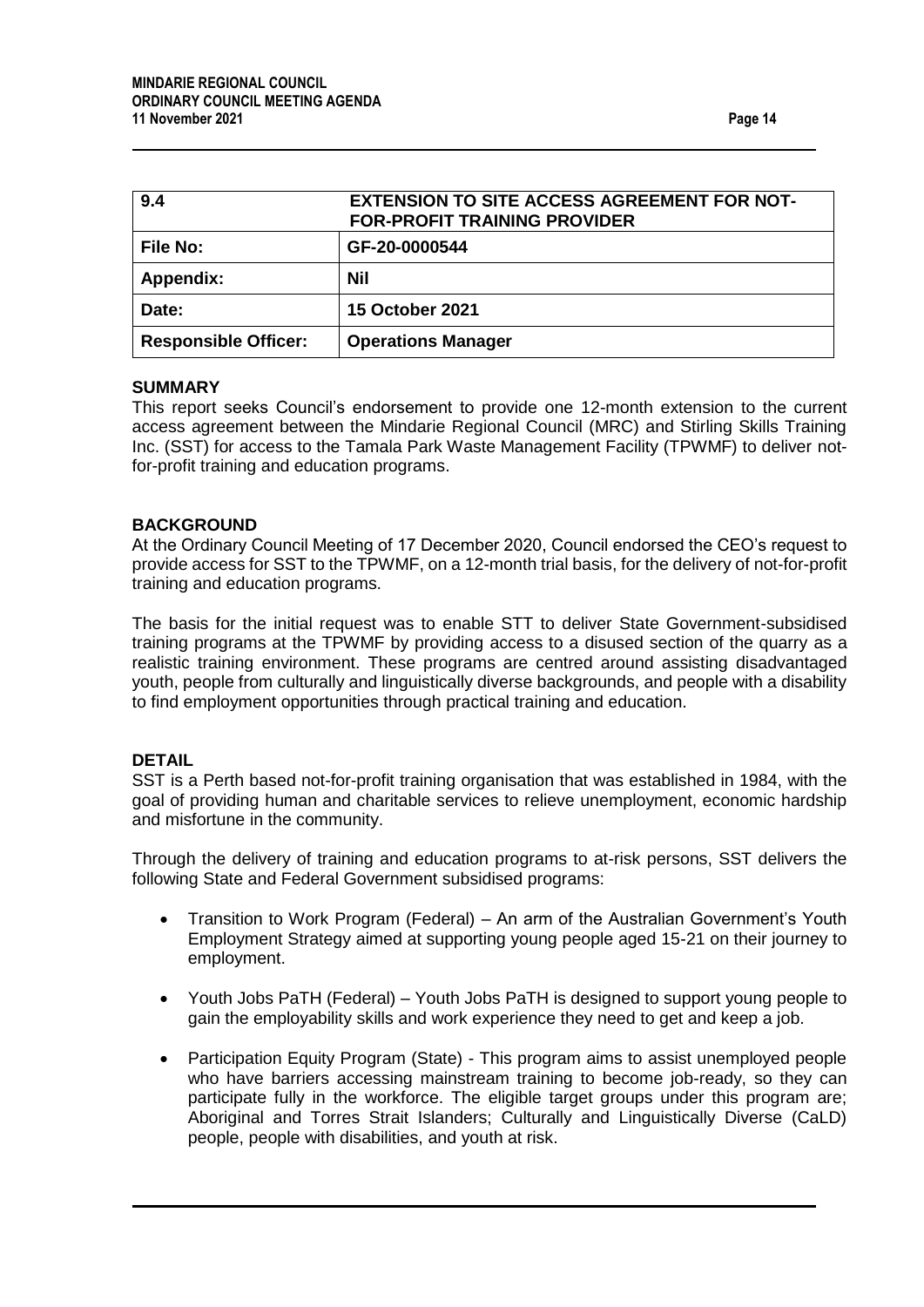<span id="page-13-0"></span>

| 9.4                         | <b>EXTENSION TO SITE ACCESS AGREEMENT FOR NOT-</b><br><b>FOR-PROFIT TRAINING PROVIDER</b> |
|-----------------------------|-------------------------------------------------------------------------------------------|
| <b>File No:</b>             | GF-20-0000544                                                                             |
| Appendix:                   | Nil                                                                                       |
| Date:                       | <b>15 October 2021</b>                                                                    |
| <b>Responsible Officer:</b> | <b>Operations Manager</b>                                                                 |

#### **SUMMARY**

This report seeks Council's endorsement to provide one 12-month extension to the current access agreement between the Mindarie Regional Council (MRC) and Stirling Skills Training Inc. (SST) for access to the Tamala Park Waste Management Facility (TPWMF) to deliver notfor-profit training and education programs.

#### **BACKGROUND**

At the Ordinary Council Meeting of 17 December 2020, Council endorsed the CEO's request to provide access for SST to the TPWMF, on a 12-month trial basis, for the delivery of not-for-profit training and education programs.

The basis for the initial request was to enable STT to deliver State Government-subsidised training programs at the TPWMF by providing access to a disused section of the quarry as a realistic training environment. These programs are centred around assisting disadvantaged youth, people from culturally and linguistically diverse backgrounds, and people with a disability to find employment opportunities through practical training and education.

#### **DETAIL**

SST is a Perth based not-for-profit training organisation that was established in 1984, with the goal of providing human and charitable services to relieve unemployment, economic hardship and misfortune in the community.

Through the delivery of training and education programs to at-risk persons, SST delivers the following State and Federal Government subsidised programs:

- Transition to Work Program (Federal) An arm of the Australian Government's Youth Employment Strategy aimed at supporting young people aged 15-21 on their journey to employment.
- Youth Jobs PaTH (Federal) Youth Jobs PaTH is designed to support young people to gain the employability skills and work experience they need to get and keep a job.
- Participation Equity Program (State) This program aims to assist unemployed people who have barriers accessing mainstream training to become job-ready, so they can participate fully in the workforce. The eligible target groups under this program are; Aboriginal and Torres Strait Islanders; Culturally and Linguistically Diverse (CaLD) people, people with disabilities, and youth at risk.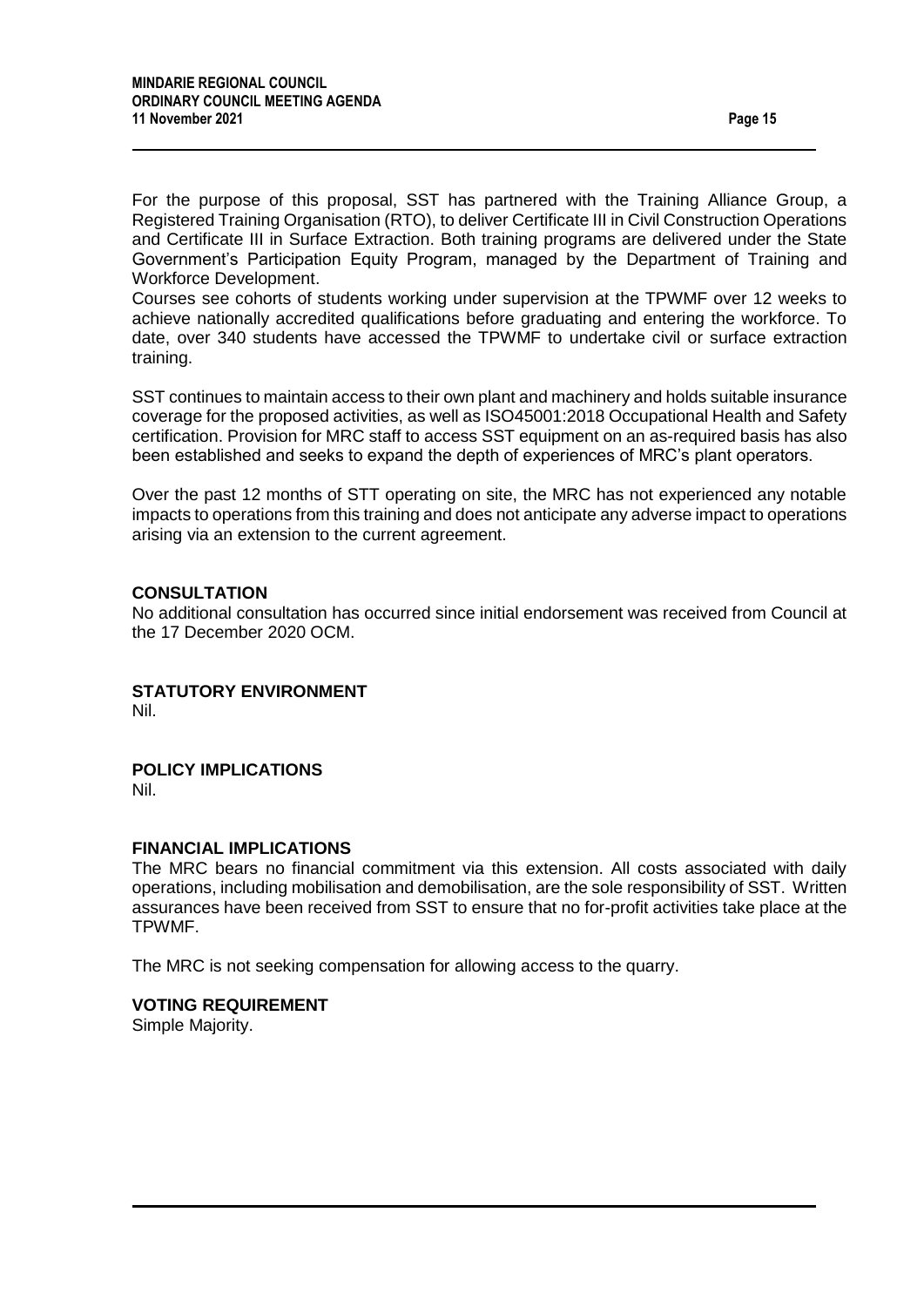For the purpose of this proposal, SST has partnered with the Training Alliance Group, a Registered Training Organisation (RTO), to deliver Certificate III in Civil Construction Operations and Certificate III in Surface Extraction. Both training programs are delivered under the State Government's Participation Equity Program, managed by the Department of Training and Workforce Development.

Courses see cohorts of students working under supervision at the TPWMF over 12 weeks to achieve nationally accredited qualifications before graduating and entering the workforce. To date, over 340 students have accessed the TPWMF to undertake civil or surface extraction training.

SST continues to maintain access to their own plant and machinery and holds suitable insurance coverage for the proposed activities, as well as ISO45001:2018 Occupational Health and Safety certification. Provision for MRC staff to access SST equipment on an as-required basis has also been established and seeks to expand the depth of experiences of MRC's plant operators.

Over the past 12 months of STT operating on site, the MRC has not experienced any notable impacts to operations from this training and does not anticipate any adverse impact to operations arising via an extension to the current agreement.

### **CONSULTATION**

No additional consultation has occurred since initial endorsement was received from Council at the 17 December 2020 OCM.

**STATUTORY ENVIRONMENT** Nil.

## **POLICY IMPLICATIONS**

Nil.

### **FINANCIAL IMPLICATIONS**

The MRC bears no financial commitment via this extension. All costs associated with daily operations, including mobilisation and demobilisation, are the sole responsibility of SST. Written assurances have been received from SST to ensure that no for-profit activities take place at the TPWMF.

The MRC is not seeking compensation for allowing access to the quarry.

#### **VOTING REQUIREMENT**

Simple Majority.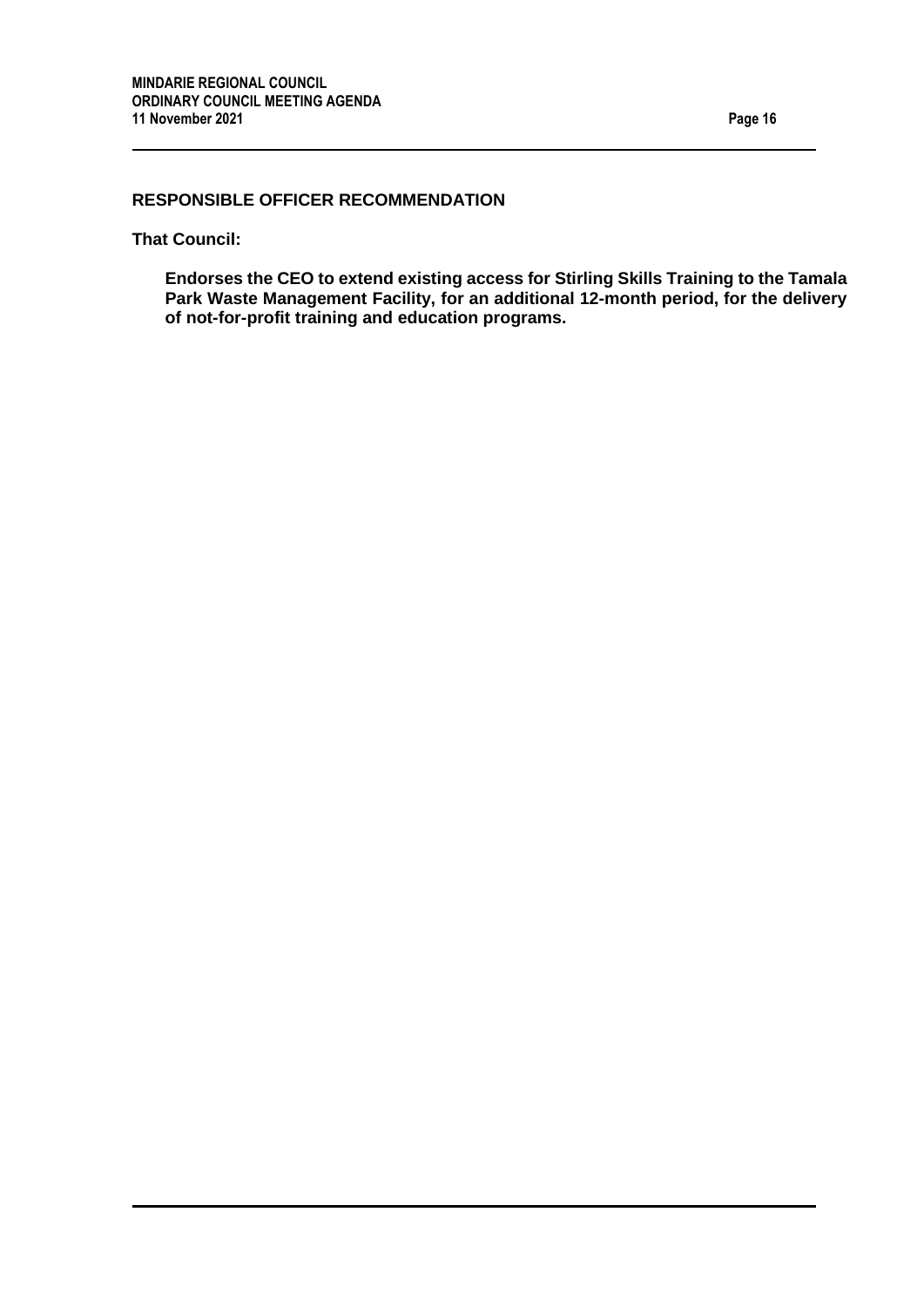## **RESPONSIBLE OFFICER RECOMMENDATION**

**That Council:**

**Endorses the CEO to extend existing access for Stirling Skills Training to the Tamala Park Waste Management Facility, for an additional 12-month period, for the delivery of not-for-profit training and education programs.**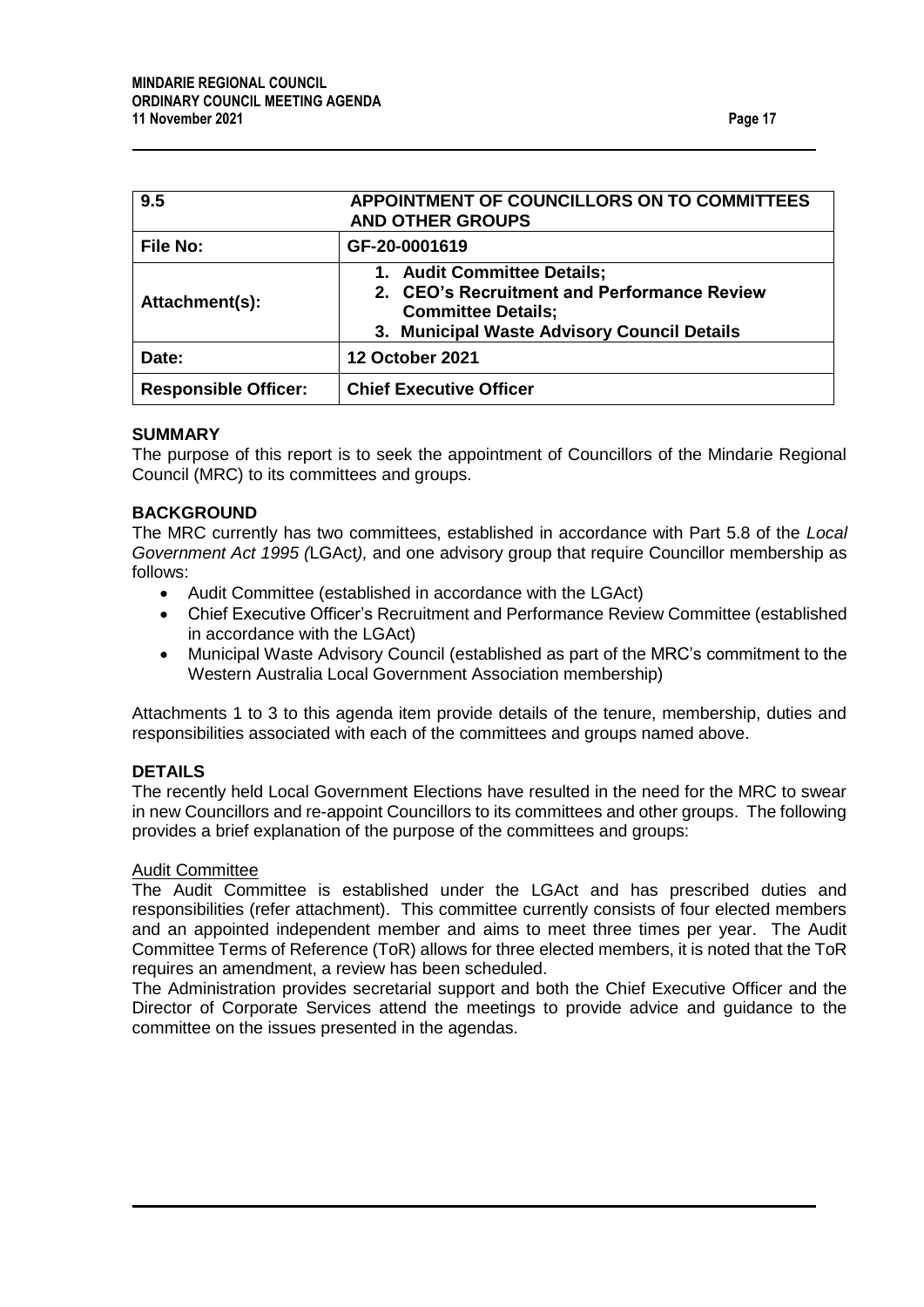<span id="page-16-0"></span>

| 9.5                         | APPOINTMENT OF COUNCILLORS ON TO COMMITTEES<br><b>AND OTHER GROUPS</b>                                                                                 |  |
|-----------------------------|--------------------------------------------------------------------------------------------------------------------------------------------------------|--|
| <b>File No:</b>             | GF-20-0001619                                                                                                                                          |  |
| Attachment(s):              | 1. Audit Committee Details;<br>2. CEO's Recruitment and Performance Review<br><b>Committee Details;</b><br>3. Municipal Waste Advisory Council Details |  |
| Date:                       | <b>12 October 2021</b>                                                                                                                                 |  |
| <b>Responsible Officer:</b> | <b>Chief Executive Officer</b>                                                                                                                         |  |

#### **SUMMARY**

The purpose of this report is to seek the appointment of Councillors of the Mindarie Regional Council (MRC) to its committees and groups.

#### **BACKGROUND**

The MRC currently has two committees, established in accordance with Part 5.8 of the *Local Government Act 1995 (*LGAct*),* and one advisory group that require Councillor membership as follows:

- Audit Committee (established in accordance with the LGAct)
- Chief Executive Officer's Recruitment and Performance Review Committee (established in accordance with the LGAct)
- Municipal Waste Advisory Council (established as part of the MRC's commitment to the Western Australia Local Government Association membership)

Attachments 1 to 3 to this agenda item provide details of the tenure, membership, duties and responsibilities associated with each of the committees and groups named above.

## **DETAILS**

The recently held Local Government Elections have resulted in the need for the MRC to swear in new Councillors and re-appoint Councillors to its committees and other groups. The following provides a brief explanation of the purpose of the committees and groups:

#### Audit Committee

The Audit Committee is established under the LGAct and has prescribed duties and responsibilities (refer attachment). This committee currently consists of four elected members and an appointed independent member and aims to meet three times per year. The Audit Committee Terms of Reference (ToR) allows for three elected members, it is noted that the ToR requires an amendment, a review has been scheduled.

The Administration provides secretarial support and both the Chief Executive Officer and the Director of Corporate Services attend the meetings to provide advice and guidance to the committee on the issues presented in the agendas.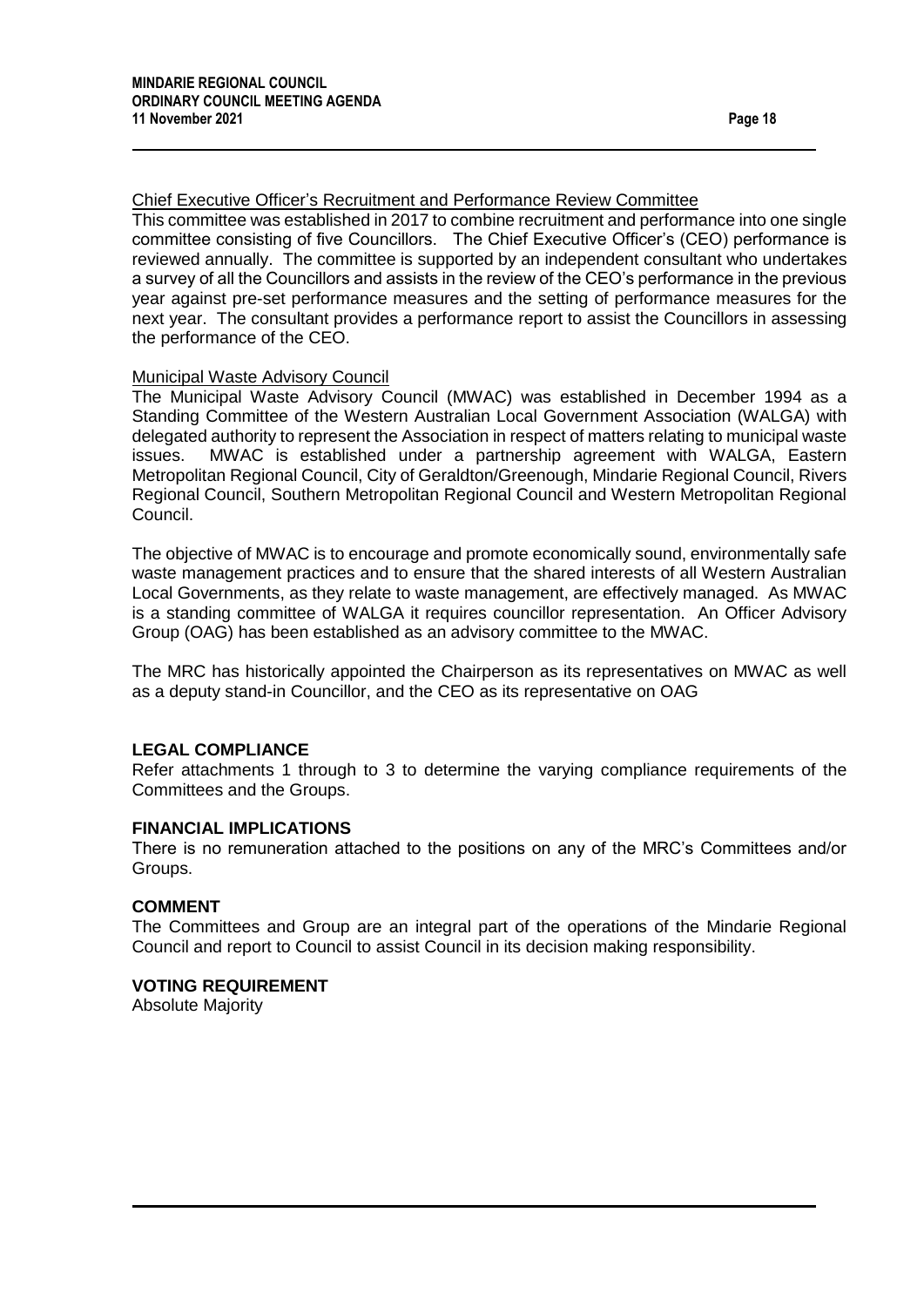## Chief Executive Officer's Recruitment and Performance Review Committee

This committee was established in 2017 to combine recruitment and performance into one single committee consisting of five Councillors. The Chief Executive Officer's (CEO) performance is reviewed annually. The committee is supported by an independent consultant who undertakes a survey of all the Councillors and assists in the review of the CEO's performance in the previous year against pre-set performance measures and the setting of performance measures for the next year. The consultant provides a performance report to assist the Councillors in assessing the performance of the CEO.

### Municipal Waste Advisory Council

The Municipal Waste Advisory Council (MWAC) was established in December 1994 as a Standing Committee of the Western Australian Local Government Association (WALGA) with delegated authority to represent the Association in respect of matters relating to municipal waste issues. MWAC is established under a partnership agreement with WALGA, Eastern Metropolitan Regional Council, City of Geraldton/Greenough, Mindarie Regional Council, Rivers Regional Council, Southern Metropolitan Regional Council and Western Metropolitan Regional Council.

The objective of MWAC is to encourage and promote economically sound, environmentally safe waste management practices and to ensure that the shared interests of all Western Australian Local Governments, as they relate to waste management, are effectively managed. As MWAC is a standing committee of WALGA it requires councillor representation. An Officer Advisory Group (OAG) has been established as an advisory committee to the MWAC.

The MRC has historically appointed the Chairperson as its representatives on MWAC as well as a deputy stand-in Councillor, and the CEO as its representative on OAG

#### **LEGAL COMPLIANCE**

Refer attachments 1 through to 3 to determine the varying compliance requirements of the Committees and the Groups.

#### **FINANCIAL IMPLICATIONS**

There is no remuneration attached to the positions on any of the MRC's Committees and/or Groups.

### **COMMENT**

The Committees and Group are an integral part of the operations of the Mindarie Regional Council and report to Council to assist Council in its decision making responsibility.

#### **VOTING REQUIREMENT**

Absolute Majority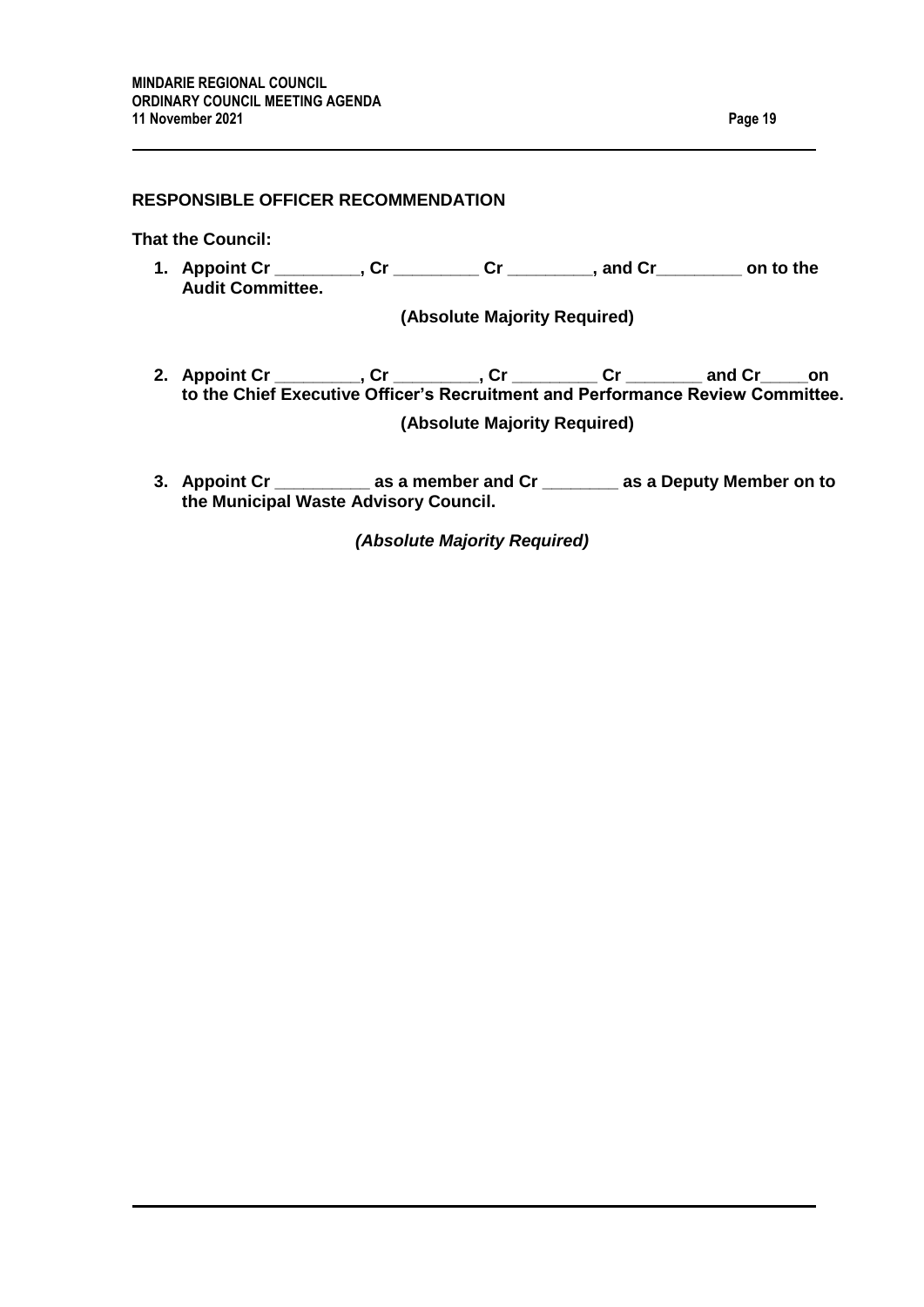## **RESPONSIBLE OFFICER RECOMMENDATION**

**That the Council:**

**1. Appoint Cr \_\_\_\_\_\_\_\_\_, Cr \_\_\_\_\_\_\_\_\_ Cr \_\_\_\_\_\_\_\_\_, and Cr\_\_\_\_\_\_\_\_\_ on to the Audit Committee.** 

**(Absolute Majority Required)**

- **2. Appoint Cr \_\_\_\_\_\_\_\_\_, Cr \_\_\_\_\_\_\_\_\_, Cr \_\_\_\_\_\_\_\_\_ Cr \_\_\_\_\_\_\_\_ and Cr\_\_\_\_\_on to the Chief Executive Officer's Recruitment and Performance Review Committee. (Absolute Majority Required)**
- **3. Appoint Cr \_\_\_\_\_\_\_\_\_\_ as a member and Cr \_\_\_\_\_\_\_\_ as a Deputy Member on to the Municipal Waste Advisory Council.**

*(Absolute Majority Required)*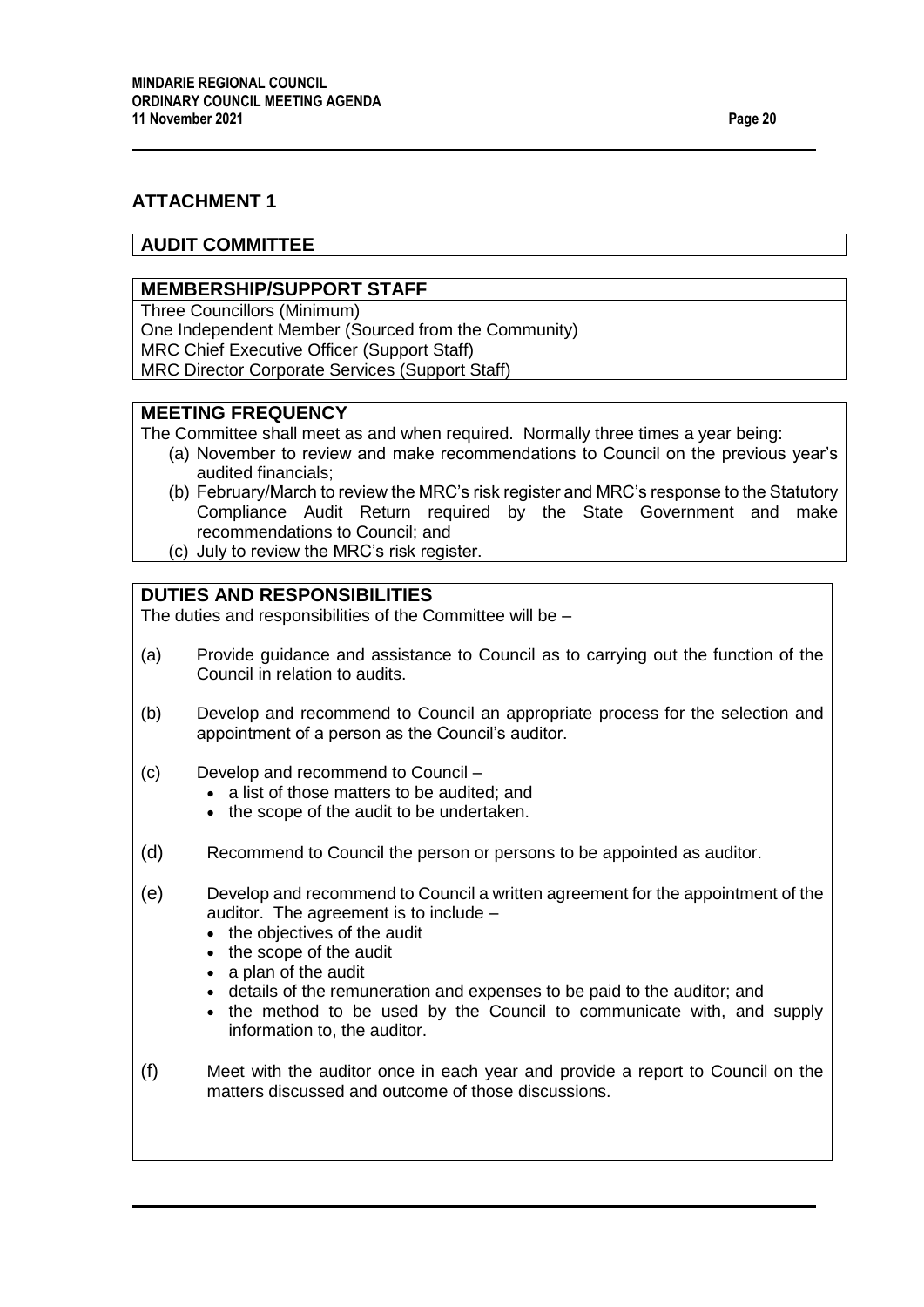# **ATTACHMENT 1**

## **AUDIT COMMITTEE**

## **MEMBERSHIP/SUPPORT STAFF**

Three Councillors (Minimum)

One Independent Member (Sourced from the Community)

MRC Chief Executive Officer (Support Staff)

MRC Director Corporate Services (Support Staff)

## **MEETING FREQUENCY**

The Committee shall meet as and when required. Normally three times a year being:

- (a) November to review and make recommendations to Council on the previous year's audited financials;
- (b) February/March to review the MRC's risk register and MRC's response to the Statutory Compliance Audit Return required by the State Government and make recommendations to Council; and
- (c) July to review the MRC's risk register.

# **DUTIES AND RESPONSIBILITIES**

The duties and responsibilities of the Committee will be –

- (a) Provide guidance and assistance to Council as to carrying out the function of the Council in relation to audits.
- (b) Develop and recommend to Council an appropriate process for the selection and appointment of a person as the Council's auditor.
- (c) Develop and recommend to Council
	- a list of those matters to be audited; and
	- the scope of the audit to be undertaken.
- (d) Recommend to Council the person or persons to be appointed as auditor.
- (e) Develop and recommend to Council a written agreement for the appointment of the auditor. The agreement is to include –
	- the objectives of the audit
	- the scope of the audit
	- a plan of the audit
	- details of the remuneration and expenses to be paid to the auditor; and
	- the method to be used by the Council to communicate with, and supply information to, the auditor.
- (f) Meet with the auditor once in each year and provide a report to Council on the matters discussed and outcome of those discussions.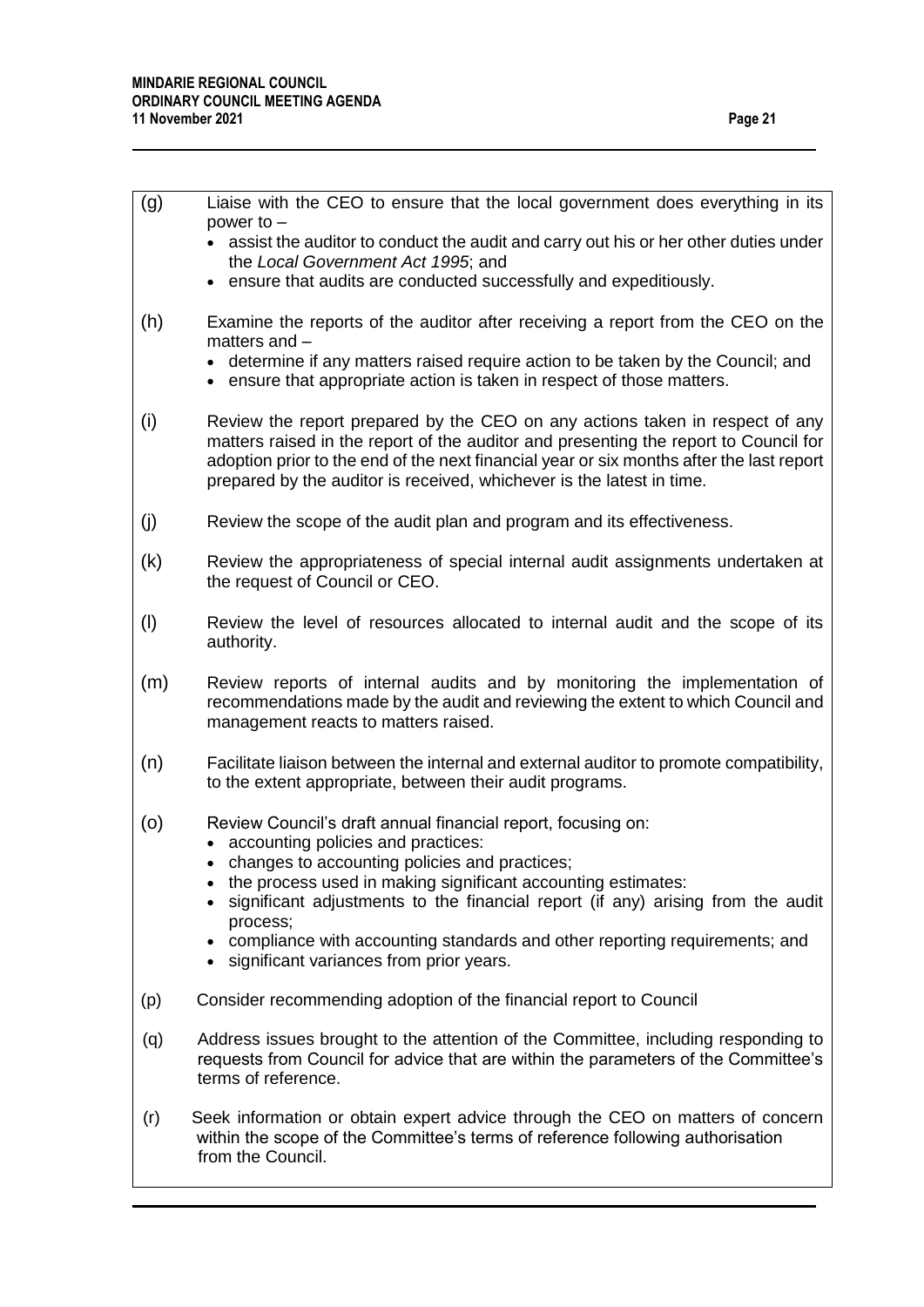| (g) | Liaise with the CEO to ensure that the local government does everything in its<br>power to $-$                                                                                                                                                                                                                                            |
|-----|-------------------------------------------------------------------------------------------------------------------------------------------------------------------------------------------------------------------------------------------------------------------------------------------------------------------------------------------|
|     | • assist the auditor to conduct the audit and carry out his or her other duties under<br>the Local Government Act 1995; and                                                                                                                                                                                                               |
|     | • ensure that audits are conducted successfully and expeditiously.                                                                                                                                                                                                                                                                        |
| (h) | Examine the reports of the auditor after receiving a report from the CEO on the<br>matters and $-$                                                                                                                                                                                                                                        |
|     | • determine if any matters raised require action to be taken by the Council; and<br>• ensure that appropriate action is taken in respect of those matters.                                                                                                                                                                                |
| (i) | Review the report prepared by the CEO on any actions taken in respect of any<br>matters raised in the report of the auditor and presenting the report to Council for<br>adoption prior to the end of the next financial year or six months after the last report<br>prepared by the auditor is received, whichever is the latest in time. |
| (j) | Review the scope of the audit plan and program and its effectiveness.                                                                                                                                                                                                                                                                     |
| (k) | Review the appropriateness of special internal audit assignments undertaken at<br>the request of Council or CEO.                                                                                                                                                                                                                          |
| (1) | Review the level of resources allocated to internal audit and the scope of its<br>authority.                                                                                                                                                                                                                                              |
| (m) | Review reports of internal audits and by monitoring the implementation of<br>recommendations made by the audit and reviewing the extent to which Council and<br>management reacts to matters raised.                                                                                                                                      |
| (n) | Facilitate liaison between the internal and external auditor to promote compatibility,<br>to the extent appropriate, between their audit programs.                                                                                                                                                                                        |
| (0) | Review Council's draft annual financial report, focusing on:<br>accounting policies and practices:                                                                                                                                                                                                                                        |
|     | • changes to accounting policies and practices;                                                                                                                                                                                                                                                                                           |
|     | the process used in making significant accounting estimates:<br>significant adjustments to the financial report (if any) arising from the audit                                                                                                                                                                                           |
|     | process;<br>compliance with accounting standards and other reporting requirements; and                                                                                                                                                                                                                                                    |
|     | significant variances from prior years.<br>$\bullet$                                                                                                                                                                                                                                                                                      |
| (p) | Consider recommending adoption of the financial report to Council                                                                                                                                                                                                                                                                         |
| (q) | Address issues brought to the attention of the Committee, including responding to<br>requests from Council for advice that are within the parameters of the Committee's<br>terms of reference.                                                                                                                                            |
| (r) | Seek information or obtain expert advice through the CEO on matters of concern<br>within the scope of the Committee's terms of reference following authorisation<br>from the Council.                                                                                                                                                     |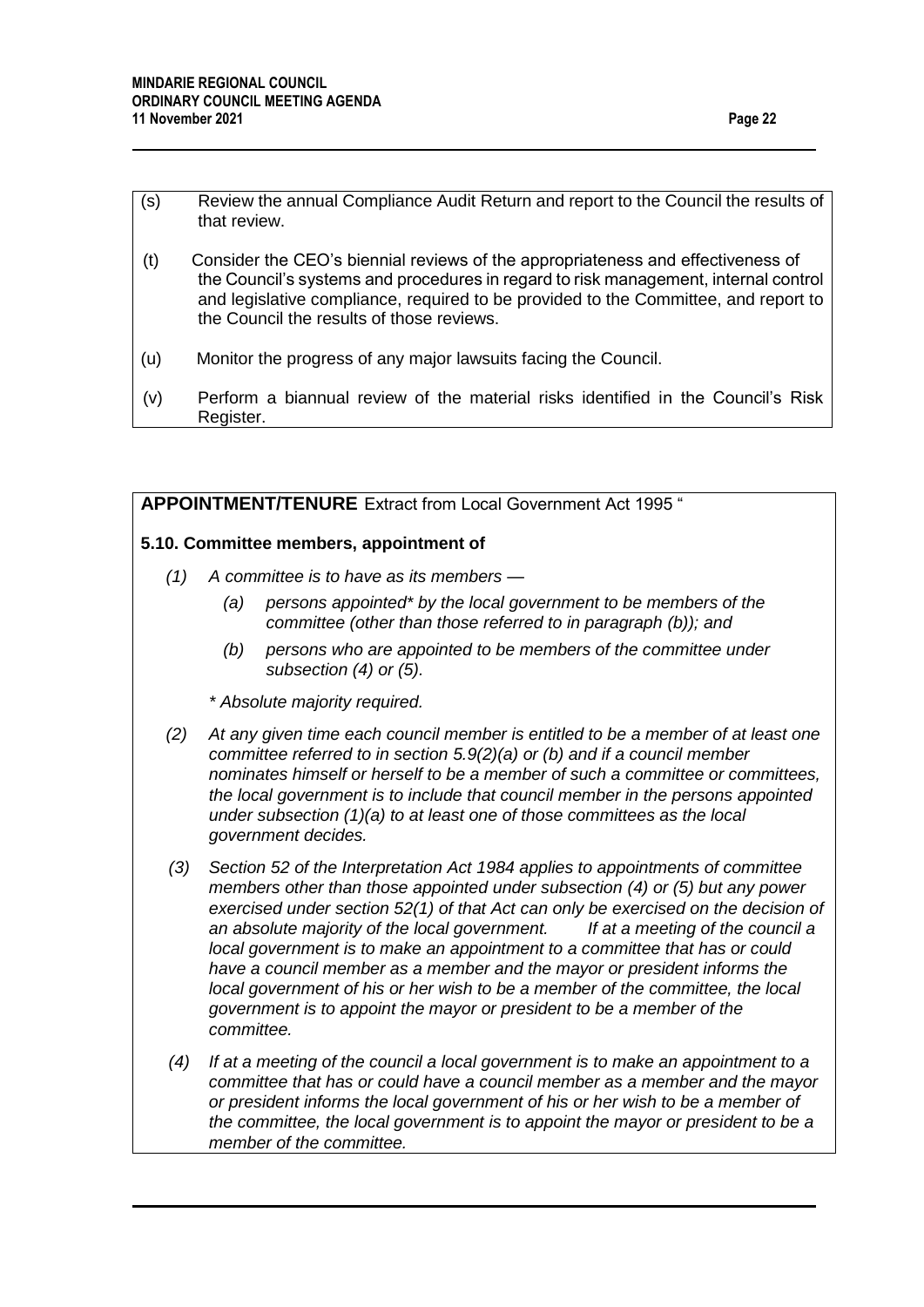- (s) Review the annual Compliance Audit Return and report to the Council the results of that review.
- (t) Consider the CEO's biennial reviews of the appropriateness and effectiveness of the Council's systems and procedures in regard to risk management, internal control and legislative compliance, required to be provided to the Committee, and report to the Council the results of those reviews.
- (u) Monitor the progress of any major lawsuits facing the Council.
- (v) Perform a biannual review of the material risks identified in the Council's Risk Register.

## **APPOINTMENT/TENURE** Extract from Local Government Act 1995 "

#### **5.10. Committee members, appointment of**

- *(1) A committee is to have as its members —*
	- *(a) persons appointed\* by the local government to be members of the committee (other than those referred to in paragraph (b)); and*
	- *(b) persons who are appointed to be members of the committee under subsection (4) or (5).*
	- *\* Absolute majority required.*
- *(2) At any given time each council member is entitled to be a member of at least one committee referred to in section 5.9(2)(a) or (b) and if a council member nominates himself or herself to be a member of such a committee or committees. the local government is to include that council member in the persons appointed under subsection (1)(a) to at least one of those committees as the local government decides.*
- *(3) Section 52 of the Interpretation Act 1984 applies to appointments of committee members other than those appointed under subsection (4) or (5) but any power exercised under section 52(1) of that Act can only be exercised on the decision of an absolute majority of the local government. If at a meeting of the council a local government is to make an appointment to a committee that has or could have a council member as a member and the mayor or president informs the local government of his or her wish to be a member of the committee, the local government is to appoint the mayor or president to be a member of the committee.*
- *(4) If at a meeting of the council a local government is to make an appointment to a committee that has or could have a council member as a member and the mayor or president informs the local government of his or her wish to be a member of the committee, the local government is to appoint the mayor or president to be a member of the committee.*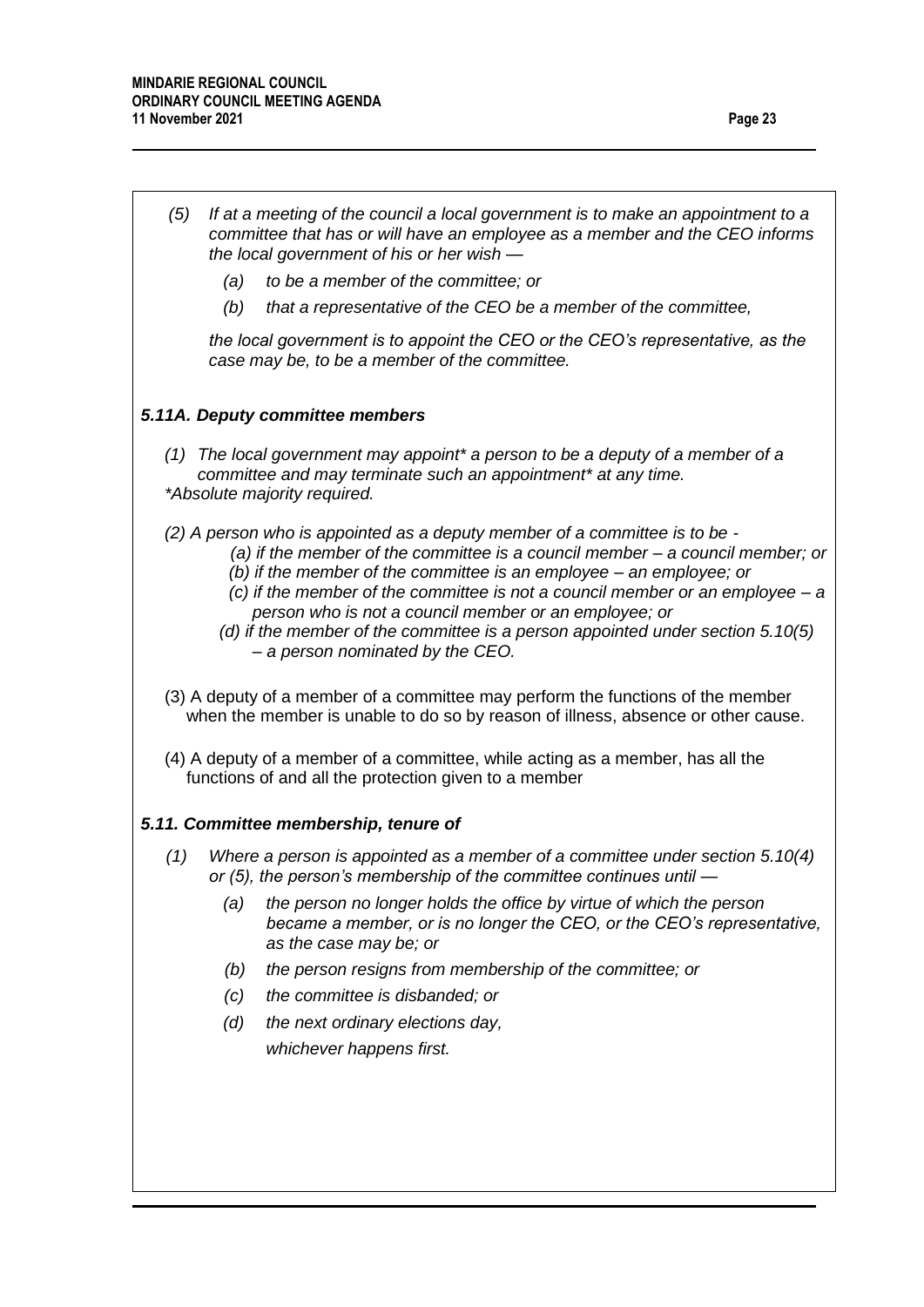| (5) |     | If at a meeting of the council a local government is to make an appointment to a<br>committee that has or will have an employee as a member and the CEO informs<br>the local government of his or her wish -                                                                                                                                                                                                                                                                                              |
|-----|-----|-----------------------------------------------------------------------------------------------------------------------------------------------------------------------------------------------------------------------------------------------------------------------------------------------------------------------------------------------------------------------------------------------------------------------------------------------------------------------------------------------------------|
|     | (a) | to be a member of the committee; or                                                                                                                                                                                                                                                                                                                                                                                                                                                                       |
|     | (b) | that a representative of the CEO be a member of the committee,                                                                                                                                                                                                                                                                                                                                                                                                                                            |
|     |     | the local government is to appoint the CEO or the CEO's representative, as the<br>case may be, to be a member of the committee.                                                                                                                                                                                                                                                                                                                                                                           |
|     |     | 5.11A. Deputy committee members                                                                                                                                                                                                                                                                                                                                                                                                                                                                           |
|     |     | $(1)$ The local government may appoint* a person to be a deputy of a member of a<br>committee and may terminate such an appointment* at any time.<br>*Absolute majority required.                                                                                                                                                                                                                                                                                                                         |
|     |     | (2) A person who is appointed as a deputy member of a committee is to be -<br>(a) if the member of the committee is a council member $-$ a council member; or<br>(b) if the member of the committee is an employee $-$ an employee; or<br>(c) if the member of the committee is not a council member or an employee $-a$<br>person who is not a council member or an employee; or<br>(d) if the member of the committee is a person appointed under section $5.10(5)$<br>- a person nominated by the CEO. |
|     |     | (3) A deputy of a member of a committee may perform the functions of the member<br>when the member is unable to do so by reason of illness, absence or other cause.                                                                                                                                                                                                                                                                                                                                       |
|     |     | (4) A deputy of a member of a committee, while acting as a member, has all the<br>functions of and all the protection given to a member                                                                                                                                                                                                                                                                                                                                                                   |
|     |     | 5.11. Committee membership, tenure of                                                                                                                                                                                                                                                                                                                                                                                                                                                                     |
| (1) |     | Where a person is appointed as a member of a committee under section 5.10(4)<br>or (5), the person's membership of the committee continues until -                                                                                                                                                                                                                                                                                                                                                        |
|     | (a) | the person no longer holds the office by virtue of which the person<br>became a member, or is no longer the CEO, or the CEO's representative,<br>as the case may be; or                                                                                                                                                                                                                                                                                                                                   |
|     | (b) | the person resigns from membership of the committee; or                                                                                                                                                                                                                                                                                                                                                                                                                                                   |
|     | (c) | the committee is disbanded; or                                                                                                                                                                                                                                                                                                                                                                                                                                                                            |
|     | (d) | the next ordinary elections day,                                                                                                                                                                                                                                                                                                                                                                                                                                                                          |
|     |     | whichever happens first.                                                                                                                                                                                                                                                                                                                                                                                                                                                                                  |
|     |     |                                                                                                                                                                                                                                                                                                                                                                                                                                                                                                           |
|     |     |                                                                                                                                                                                                                                                                                                                                                                                                                                                                                                           |
|     |     |                                                                                                                                                                                                                                                                                                                                                                                                                                                                                                           |
|     |     |                                                                                                                                                                                                                                                                                                                                                                                                                                                                                                           |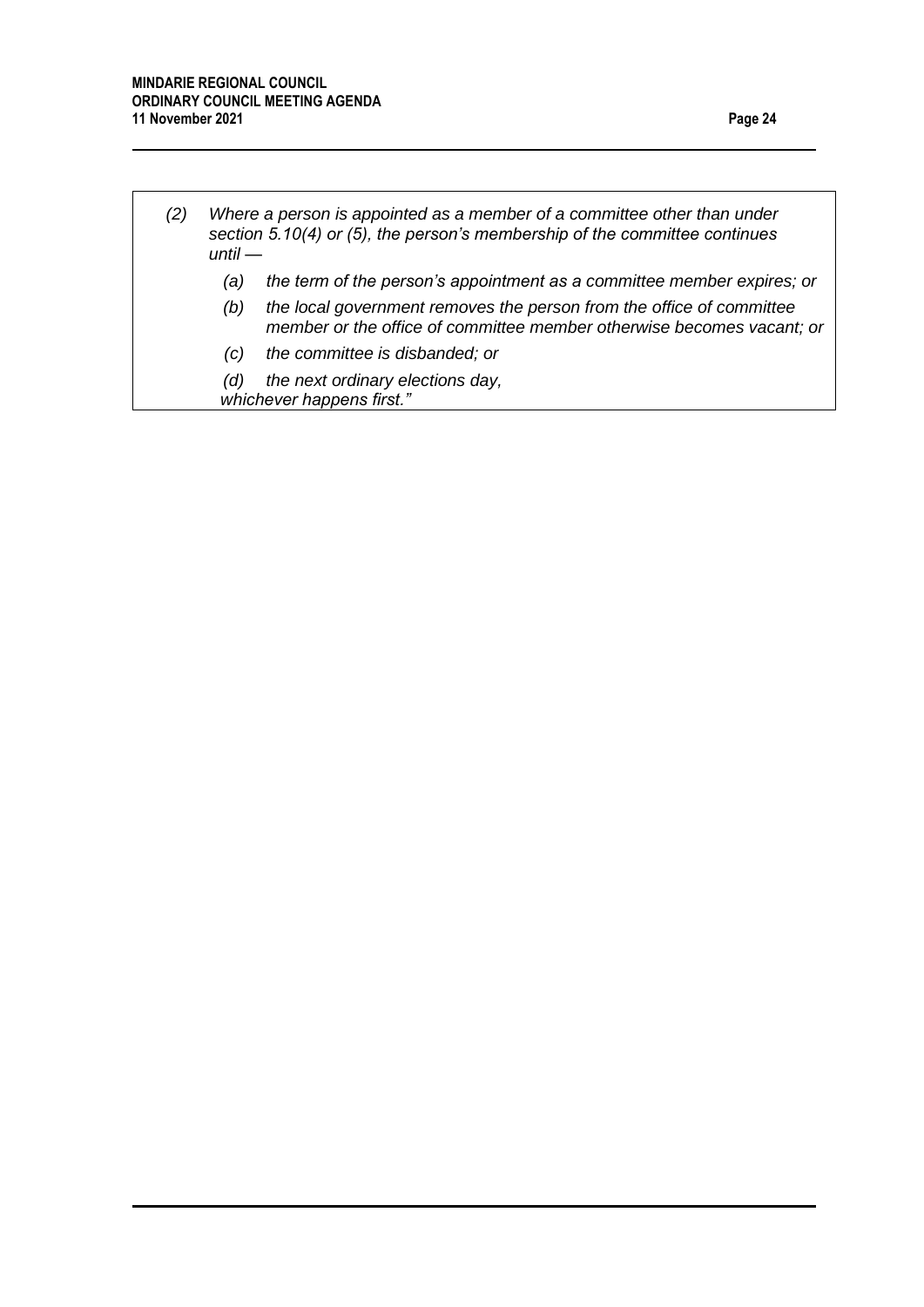*(2) Where a person is appointed as a member of a committee other than under section 5.10(4) or (5), the person's membership of the committee continues until — (a) the term of the person's appointment as a committee member expires; or (b) the local government removes the person from the office of committee member or the office of committee member otherwise becomes vacant; or*

- *(c) the committee is disbanded; or*
- *(d) the next ordinary elections day, whichever happens first."*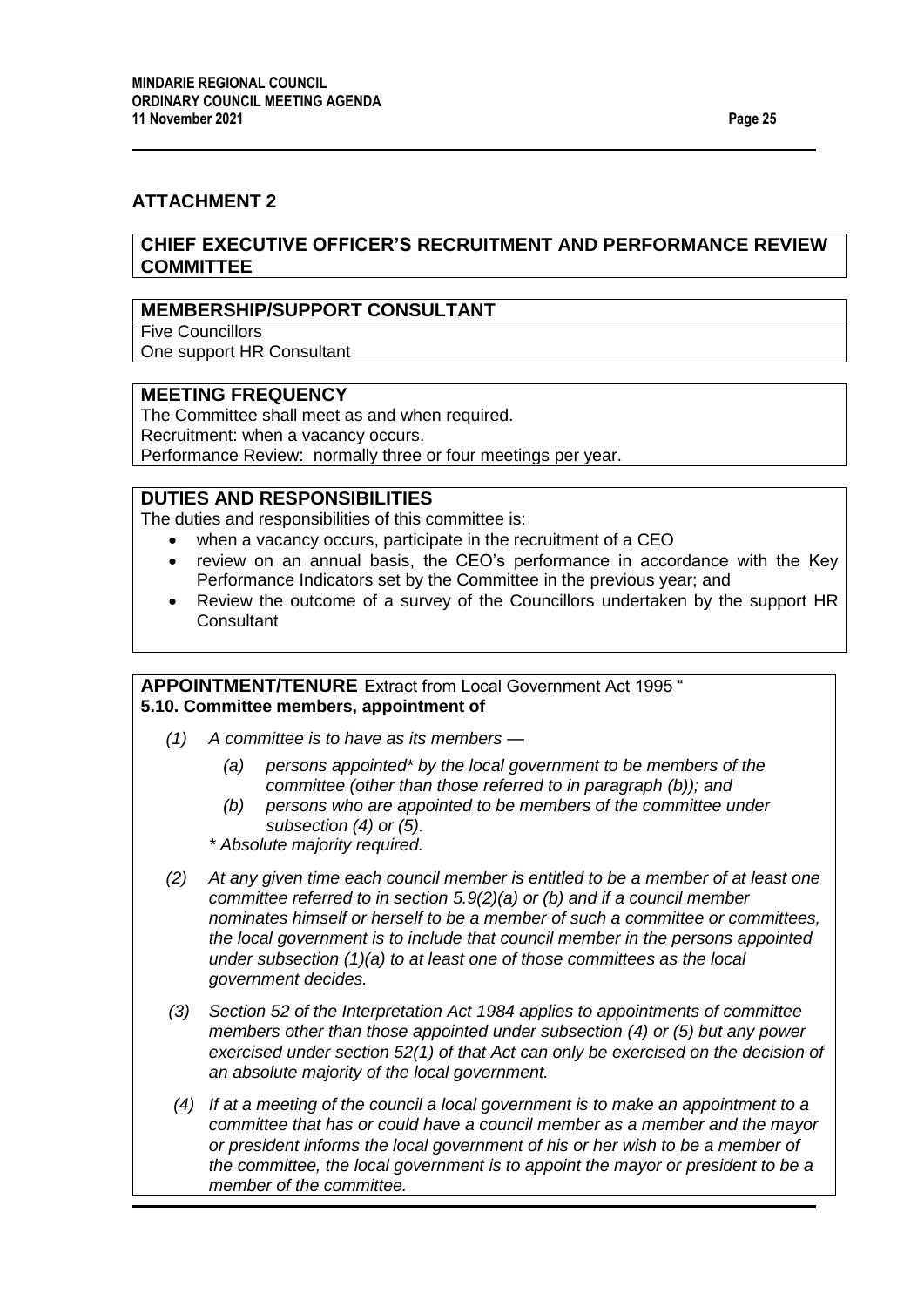## **ATTACHMENT 2**

## **CHIEF EXECUTIVE OFFICER'S RECRUITMENT AND PERFORMANCE REVIEW COMMITTEE**

#### **MEMBERSHIP/SUPPORT CONSULTANT**

Five Councillors One support HR Consultant

#### **MEETING FREQUENCY**

The Committee shall meet as and when required.

Recruitment: when a vacancy occurs.

Performance Review: normally three or four meetings per year.

## **DUTIES AND RESPONSIBILITIES**

The duties and responsibilities of this committee is:

- when a vacancy occurs, participate in the recruitment of a CEO
- review on an annual basis, the CEO's performance in accordance with the Key Performance Indicators set by the Committee in the previous year; and
- Review the outcome of a survey of the Councillors undertaken by the support HR **Consultant**

### **APPOINTMENT/TENURE** Extract from Local Government Act 1995 " **5.10. Committee members, appointment of**

- *(1) A committee is to have as its members —*
	- *(a) persons appointed\* by the local government to be members of the committee (other than those referred to in paragraph (b)); and*
	- *(b) persons who are appointed to be members of the committee under subsection (4) or (5).*
	- *\* Absolute majority required.*
- *(2) At any given time each council member is entitled to be a member of at least one committee referred to in section 5.9(2)(a) or (b) and if a council member nominates himself or herself to be a member of such a committee or committees, the local government is to include that council member in the persons appointed under subsection (1)(a) to at least one of those committees as the local government decides.*
- *(3) Section 52 of the Interpretation Act 1984 applies to appointments of committee members other than those appointed under subsection (4) or (5) but any power exercised under section 52(1) of that Act can only be exercised on the decision of an absolute majority of the local government.*
- *(4) If at a meeting of the council a local government is to make an appointment to a committee that has or could have a council member as a member and the mayor or president informs the local government of his or her wish to be a member of the committee, the local government is to appoint the mayor or president to be a member of the committee.*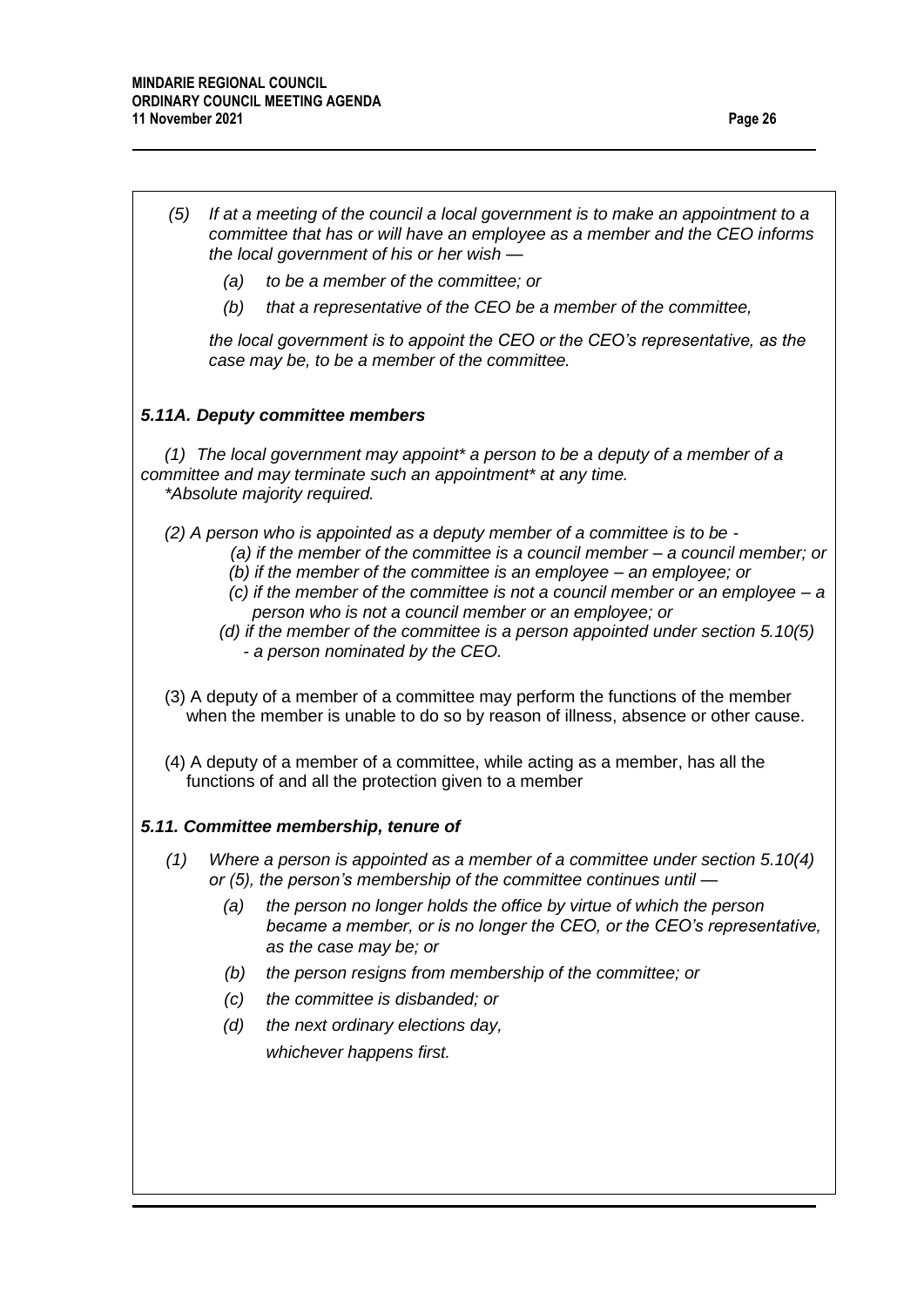| (5) |                                                                                                                                                                                                              |                                                                                                                                                                                                                                                                                                                                                                                                                                                                                                         |  |
|-----|--------------------------------------------------------------------------------------------------------------------------------------------------------------------------------------------------------------|---------------------------------------------------------------------------------------------------------------------------------------------------------------------------------------------------------------------------------------------------------------------------------------------------------------------------------------------------------------------------------------------------------------------------------------------------------------------------------------------------------|--|
|     | If at a meeting of the council a local government is to make an appointment to a<br>committee that has or will have an employee as a member and the CEO informs<br>the local government of his or her wish - |                                                                                                                                                                                                                                                                                                                                                                                                                                                                                                         |  |
|     | (a)                                                                                                                                                                                                          | to be a member of the committee; or                                                                                                                                                                                                                                                                                                                                                                                                                                                                     |  |
|     | (b)                                                                                                                                                                                                          | that a representative of the CEO be a member of the committee,                                                                                                                                                                                                                                                                                                                                                                                                                                          |  |
|     |                                                                                                                                                                                                              | the local government is to appoint the CEO or the CEO's representative, as the<br>case may be, to be a member of the committee.                                                                                                                                                                                                                                                                                                                                                                         |  |
|     |                                                                                                                                                                                                              | 5.11A. Deputy committee members                                                                                                                                                                                                                                                                                                                                                                                                                                                                         |  |
|     |                                                                                                                                                                                                              | $(1)$ The local government may appoint* a person to be a deputy of a member of a<br>committee and may terminate such an appointment* at any time.<br>*Absolute majority required.                                                                                                                                                                                                                                                                                                                       |  |
|     |                                                                                                                                                                                                              | (2) A person who is appointed as a deputy member of a committee is to be -<br>(a) if the member of the committee is a council member - a council member; or<br>(b) if the member of the committee is an employee $-$ an employee; or<br>(c) if the member of the committee is not a council member or an employee $-a$<br>person who is not a council member or an employee; or<br>(d) if the member of the committee is a person appointed under section $5.10(5)$<br>- a person nominated by the CEO. |  |
|     |                                                                                                                                                                                                              | (3) A deputy of a member of a committee may perform the functions of the member<br>when the member is unable to do so by reason of illness, absence or other cause.                                                                                                                                                                                                                                                                                                                                     |  |
|     |                                                                                                                                                                                                              |                                                                                                                                                                                                                                                                                                                                                                                                                                                                                                         |  |
|     |                                                                                                                                                                                                              | (4) A deputy of a member of a committee, while acting as a member, has all the<br>functions of and all the protection given to a member                                                                                                                                                                                                                                                                                                                                                                 |  |
|     |                                                                                                                                                                                                              | 5.11. Committee membership, tenure of                                                                                                                                                                                                                                                                                                                                                                                                                                                                   |  |
| (1) |                                                                                                                                                                                                              | Where a person is appointed as a member of a committee under section 5.10(4)<br>or (5), the person's membership of the committee continues until -                                                                                                                                                                                                                                                                                                                                                      |  |
|     | (a)                                                                                                                                                                                                          | the person no longer holds the office by virtue of which the person<br>became a member, or is no longer the CEO, or the CEO's representative,<br>as the case may be; or                                                                                                                                                                                                                                                                                                                                 |  |
|     | (b)                                                                                                                                                                                                          | the person resigns from membership of the committee; or                                                                                                                                                                                                                                                                                                                                                                                                                                                 |  |
|     | (c)                                                                                                                                                                                                          | the committee is disbanded; or                                                                                                                                                                                                                                                                                                                                                                                                                                                                          |  |
|     | (d)                                                                                                                                                                                                          | the next ordinary elections day,                                                                                                                                                                                                                                                                                                                                                                                                                                                                        |  |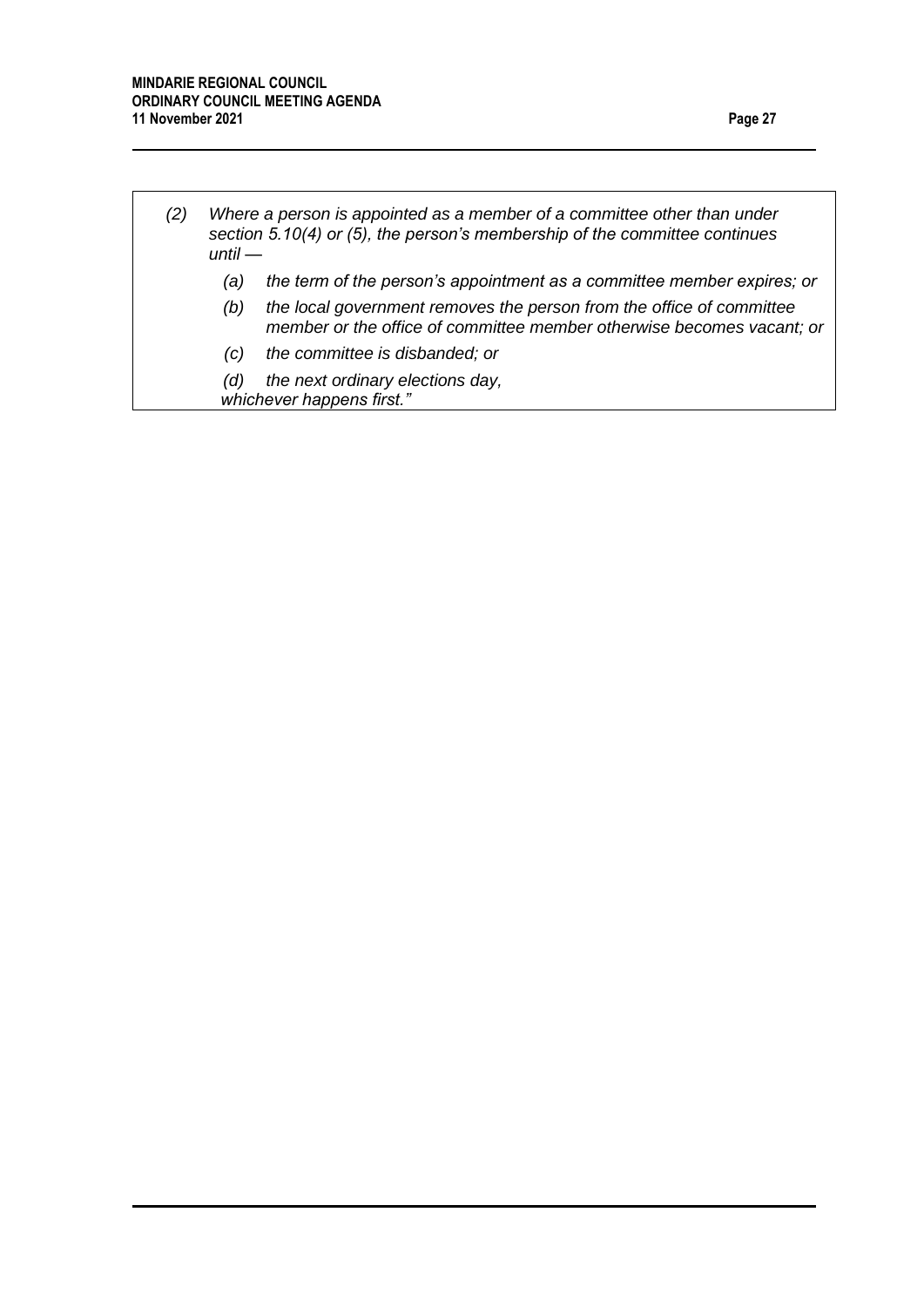*until —*

*(2) Where a person is appointed as a member of a committee other than under section 5.10(4) or (5), the person's membership of the committee continues* 

- *(a) the term of the person's appointment as a committee member expires; or*
- *(b) the local government removes the person from the office of committee member or the office of committee member otherwise becomes vacant; or*
- *(c) the committee is disbanded; or*
- *(d) the next ordinary elections day, whichever happens first."*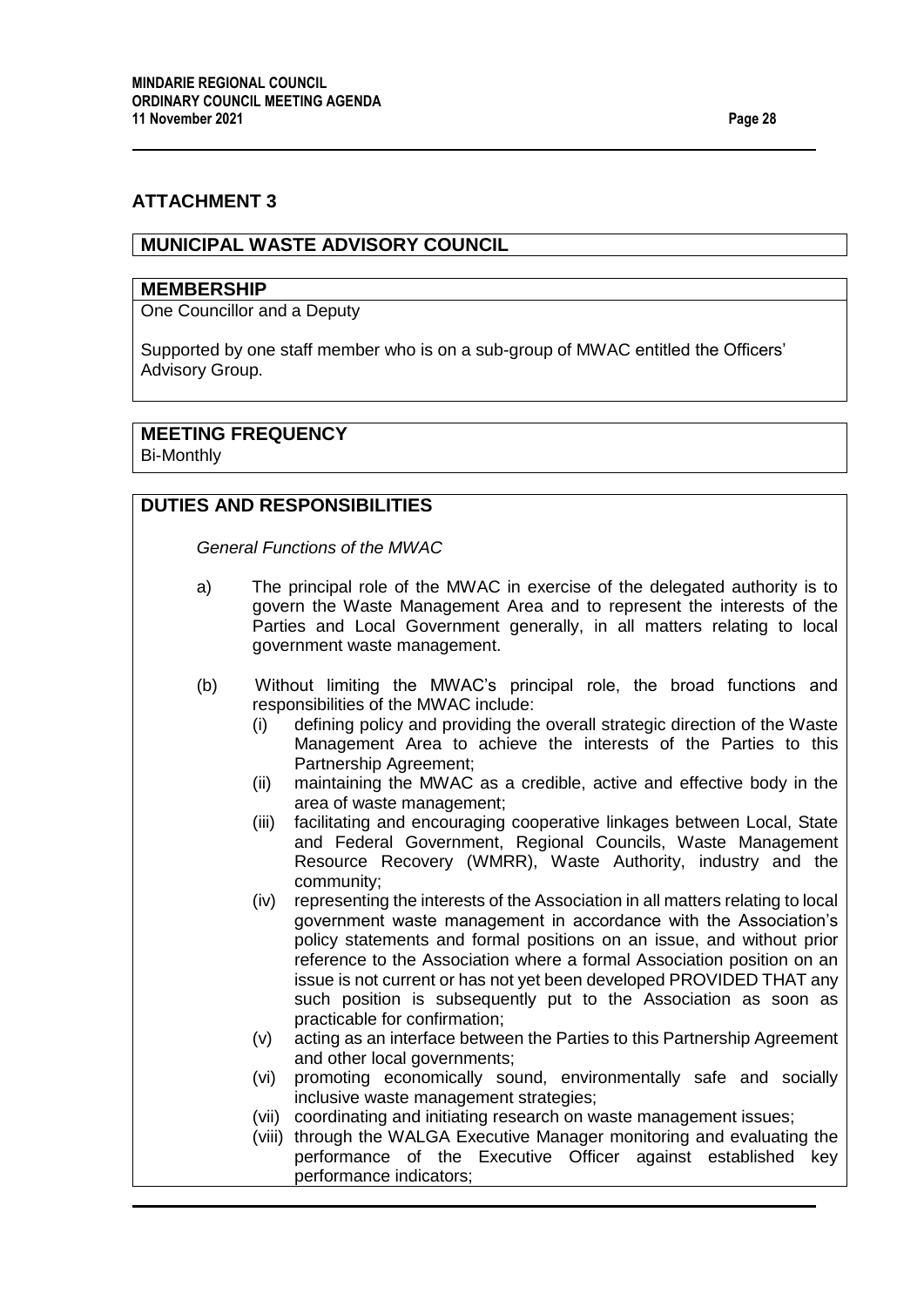## **ATTACHMENT 3**

## **MUNICIPAL WASTE ADVISORY COUNCIL**

#### **MEMBERSHIP**

One Councillor and a Deputy

Supported by one staff member who is on a sub-group of MWAC entitled the Officers' Advisory Group.

# **MEETING FREQUENCY**

Bi-Monthly

# **DUTIES AND RESPONSIBILITIES**

*General Functions of the MWAC*

- a) The principal role of the MWAC in exercise of the delegated authority is to govern the Waste Management Area and to represent the interests of the Parties and Local Government generally, in all matters relating to local government waste management.
- (b) Without limiting the MWAC's principal role, the broad functions and responsibilities of the MWAC include:
	- (i) defining policy and providing the overall strategic direction of the Waste Management Area to achieve the interests of the Parties to this Partnership Agreement;
	- (ii) maintaining the MWAC as a credible, active and effective body in the area of waste management;
	- (iii) facilitating and encouraging cooperative linkages between Local, State and Federal Government, Regional Councils, Waste Management Resource Recovery (WMRR), Waste Authority, industry and the community;
	- (iv) representing the interests of the Association in all matters relating to local government waste management in accordance with the Association's policy statements and formal positions on an issue, and without prior reference to the Association where a formal Association position on an issue is not current or has not yet been developed PROVIDED THAT any such position is subsequently put to the Association as soon as practicable for confirmation;
	- (v) acting as an interface between the Parties to this Partnership Agreement and other local governments;
	- (vi) promoting economically sound, environmentally safe and socially inclusive waste management strategies;
	- (vii) coordinating and initiating research on waste management issues;
	- (viii) through the WALGA Executive Manager monitoring and evaluating the performance of the Executive Officer against established key performance indicators;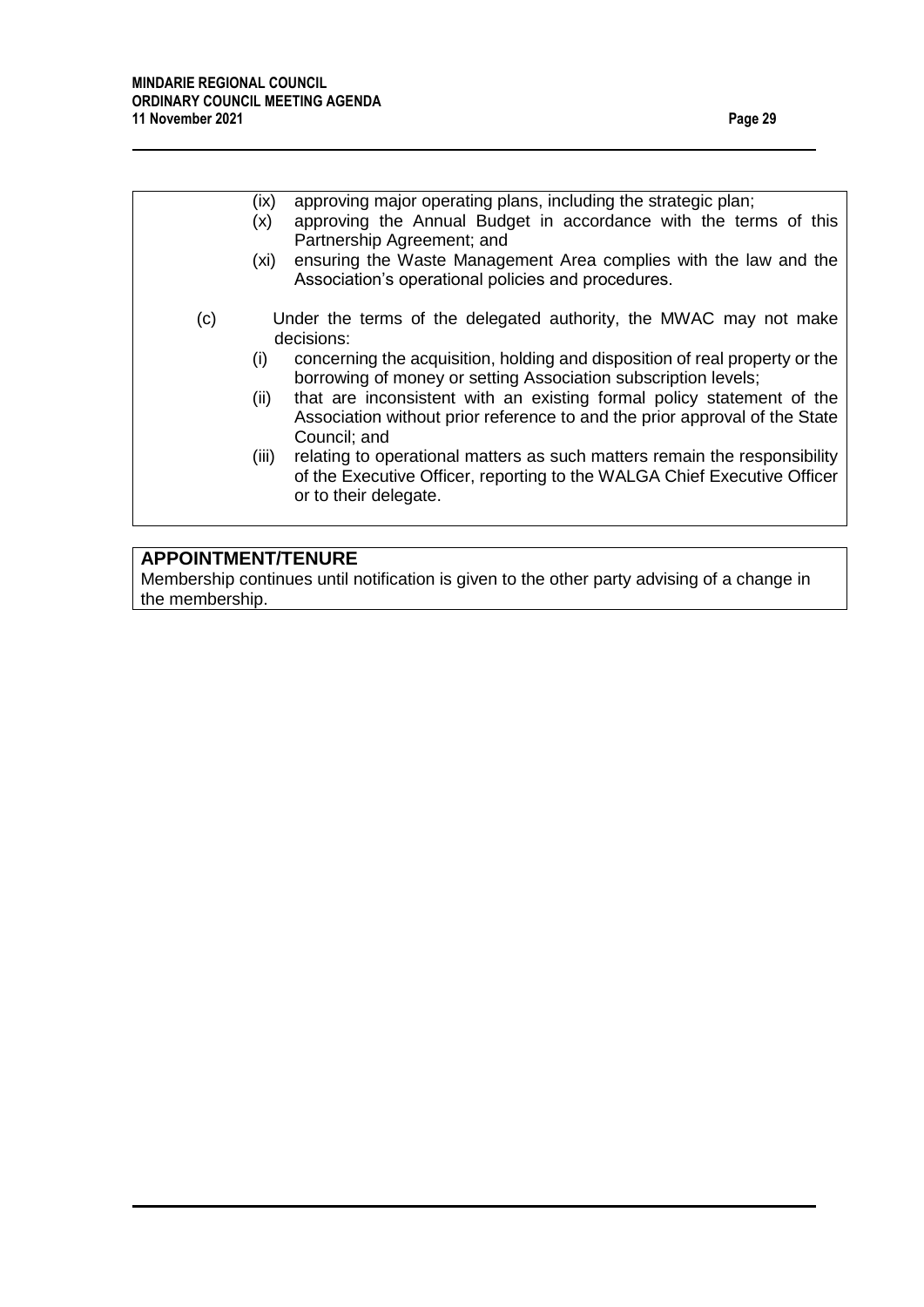|     | approving major operating plans, including the strategic plan;<br>(ix)<br>approving the Annual Budget in accordance with the terms of this<br>(x)<br>Partnership Agreement; and<br>ensuring the Waste Management Area complies with the law and the<br>(xi)                                                                         |  |  |
|-----|-------------------------------------------------------------------------------------------------------------------------------------------------------------------------------------------------------------------------------------------------------------------------------------------------------------------------------------|--|--|
| (c) | Association's operational policies and procedures.<br>Under the terms of the delegated authority, the MWAC may not make<br>decisions:                                                                                                                                                                                               |  |  |
|     | concerning the acquisition, holding and disposition of real property or the<br>(i)<br>borrowing of money or setting Association subscription levels;<br>that are inconsistent with an existing formal policy statement of the<br>(ii)<br>Association without prior reference to and the prior approval of the State<br>Council; and |  |  |
|     | (iii)<br>relating to operational matters as such matters remain the responsibility<br>of the Executive Officer, reporting to the WALGA Chief Executive Officer<br>or to their delegate.                                                                                                                                             |  |  |
|     |                                                                                                                                                                                                                                                                                                                                     |  |  |

# **APPOINTMENT/TENURE**

Membership continues until notification is given to the other party advising of a change in the membership.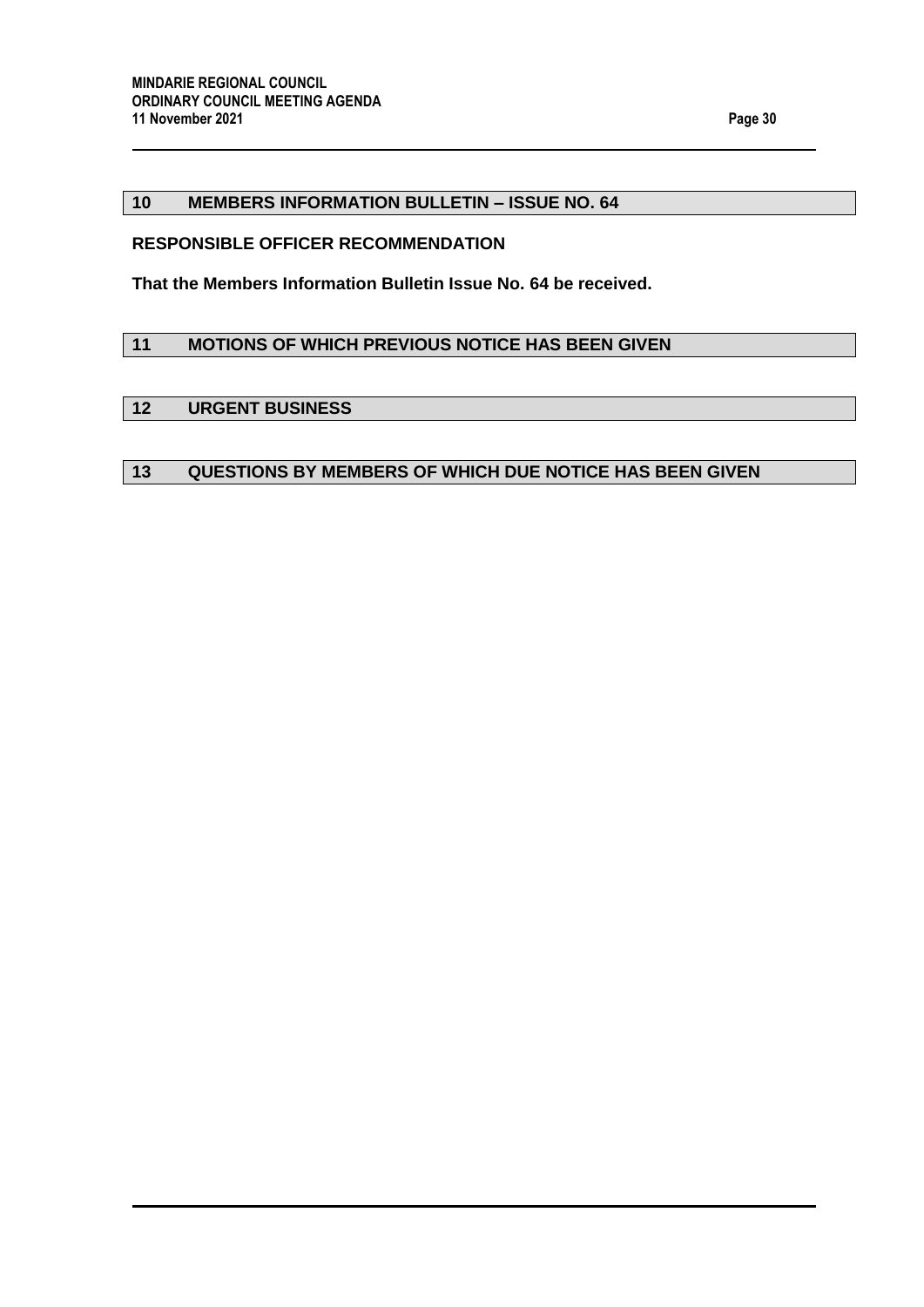## <span id="page-29-0"></span>**10 MEMBERS INFORMATION BULLETIN – ISSUE NO. 64**

#### **RESPONSIBLE OFFICER RECOMMENDATION**

**That the Members Information Bulletin Issue No. 64 be received.**

## <span id="page-29-1"></span>**11 MOTIONS OF WHICH PREVIOUS NOTICE HAS BEEN GIVEN**

#### <span id="page-29-2"></span>**12 URGENT BUSINESS**

# <span id="page-29-3"></span>**13 QUESTIONS BY MEMBERS OF WHICH DUE NOTICE HAS BEEN GIVEN**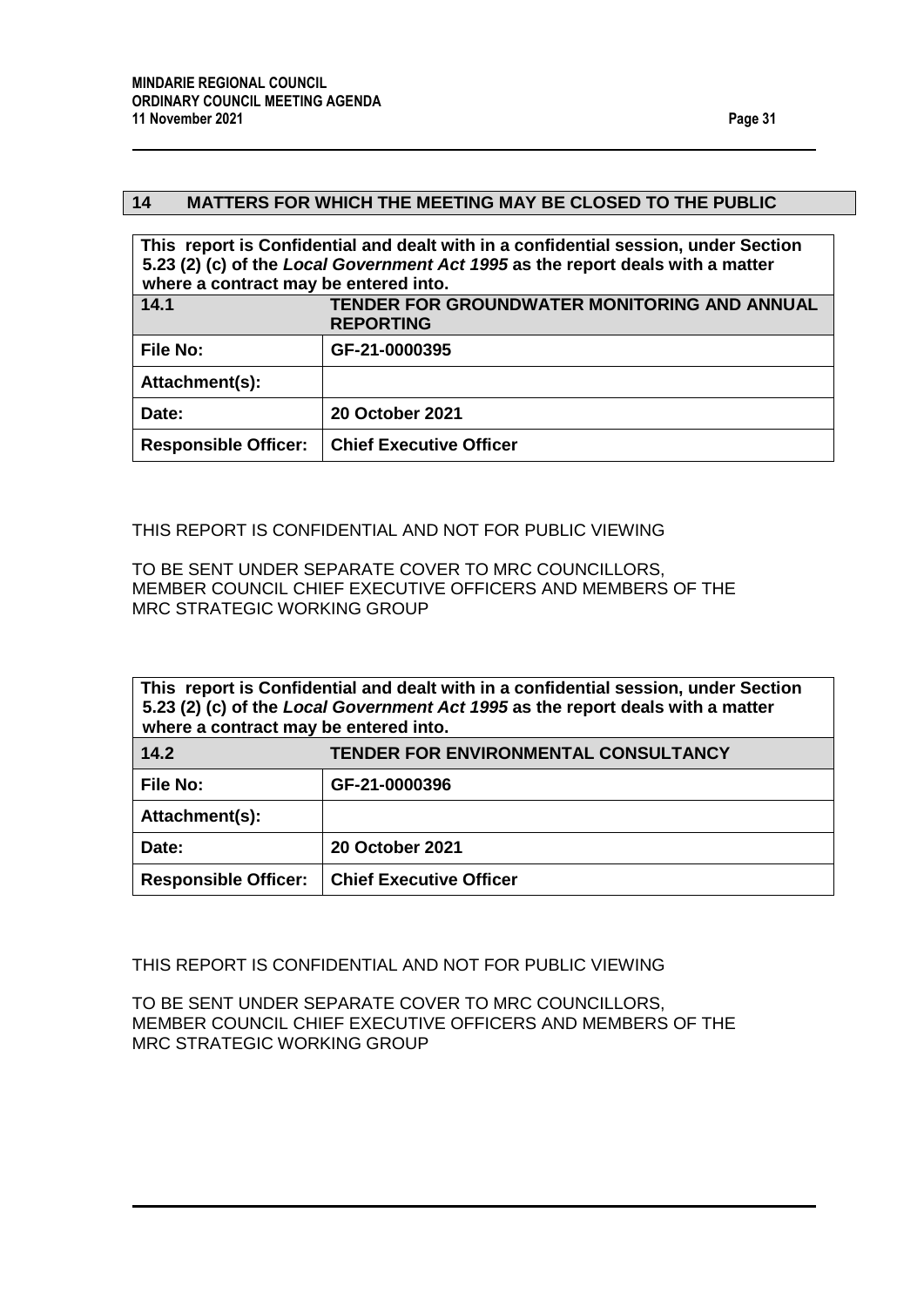## <span id="page-30-0"></span>**14 MATTERS FOR WHICH THE MEETING MAY BE CLOSED TO THE PUBLIC**

<span id="page-30-1"></span>

| This report is Confidential and dealt with in a confidential session, under Section<br>5.23 (2) (c) of the Local Government Act 1995 as the report deals with a matter<br>where a contract may be entered into. |                                                                         |  |  |  |
|-----------------------------------------------------------------------------------------------------------------------------------------------------------------------------------------------------------------|-------------------------------------------------------------------------|--|--|--|
| 14.1                                                                                                                                                                                                            | <b>TENDER FOR GROUNDWATER MONITORING AND ANNUAL</b><br><b>REPORTING</b> |  |  |  |
| <b>File No:</b>                                                                                                                                                                                                 | GF-21-0000395                                                           |  |  |  |
| Attachment(s):                                                                                                                                                                                                  |                                                                         |  |  |  |
| Date:                                                                                                                                                                                                           | <b>20 October 2021</b>                                                  |  |  |  |
| <b>Responsible Officer:</b>                                                                                                                                                                                     | <b>Chief Executive Officer</b>                                          |  |  |  |

THIS REPORT IS CONFIDENTIAL AND NOT FOR PUBLIC VIEWING

TO BE SENT UNDER SEPARATE COVER TO MRC COUNCILLORS, MEMBER COUNCIL CHIEF EXECUTIVE OFFICERS AND MEMBERS OF THE MRC STRATEGIC WORKING GROUP

<span id="page-30-2"></span>

| This report is Confidential and dealt with in a confidential session, under Section<br>5.23 (2) (c) of the Local Government Act 1995 as the report deals with a matter<br>where a contract may be entered into. |                                             |  |  |  |
|-----------------------------------------------------------------------------------------------------------------------------------------------------------------------------------------------------------------|---------------------------------------------|--|--|--|
| 14.2                                                                                                                                                                                                            | <b>TENDER FOR ENVIRONMENTAL CONSULTANCY</b> |  |  |  |
| <b>File No:</b>                                                                                                                                                                                                 | GF-21-0000396                               |  |  |  |
| Attachment(s):                                                                                                                                                                                                  |                                             |  |  |  |
| Date:                                                                                                                                                                                                           | <b>20 October 2021</b>                      |  |  |  |
| <b>Responsible Officer:</b>                                                                                                                                                                                     | <b>Chief Executive Officer</b>              |  |  |  |

THIS REPORT IS CONFIDENTIAL AND NOT FOR PUBLIC VIEWING

TO BE SENT UNDER SEPARATE COVER TO MRC COUNCILLORS, MEMBER COUNCIL CHIEF EXECUTIVE OFFICERS AND MEMBERS OF THE MRC STRATEGIC WORKING GROUP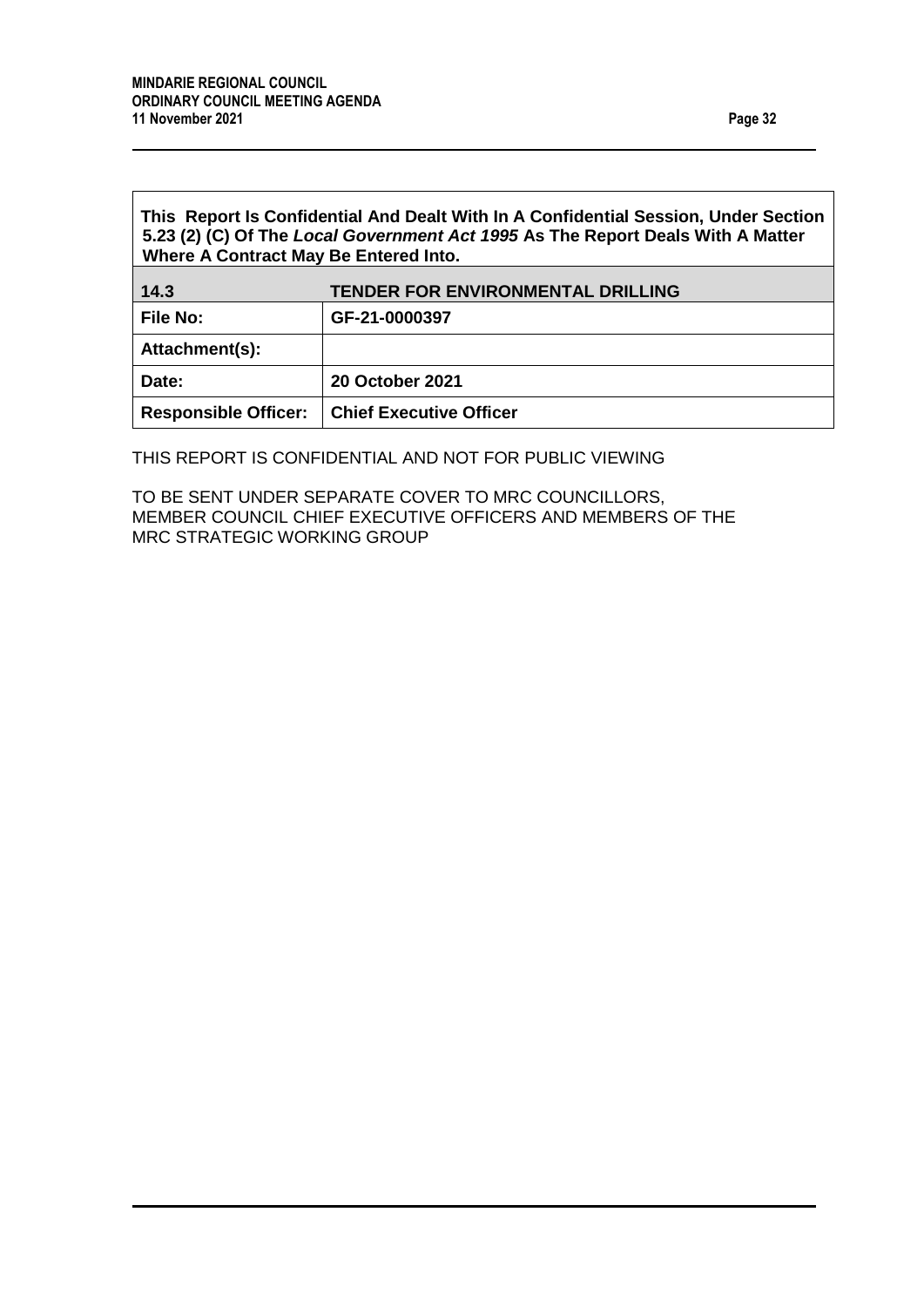$\overline{1}$ 

<span id="page-31-0"></span>

| This Report Is Confidential And Dealt With In A Confidential Session, Under Section<br>5.23 (2) (C) Of The Local Government Act 1995 As The Report Deals With A Matter<br>Where A Contract May Be Entered Into. |                                          |  |  |  |
|-----------------------------------------------------------------------------------------------------------------------------------------------------------------------------------------------------------------|------------------------------------------|--|--|--|
| 14.3                                                                                                                                                                                                            | <b>TENDER FOR ENVIRONMENTAL DRILLING</b> |  |  |  |
| <b>File No:</b>                                                                                                                                                                                                 | GF-21-0000397                            |  |  |  |
| Attachment(s):                                                                                                                                                                                                  |                                          |  |  |  |
| Date:                                                                                                                                                                                                           | <b>20 October 2021</b>                   |  |  |  |
| <b>Responsible Officer:</b>                                                                                                                                                                                     | <b>Chief Executive Officer</b>           |  |  |  |

THIS REPORT IS CONFIDENTIAL AND NOT FOR PUBLIC VIEWING

TO BE SENT UNDER SEPARATE COVER TO MRC COUNCILLORS, MEMBER COUNCIL CHIEF EXECUTIVE OFFICERS AND MEMBERS OF THE MRC STRATEGIC WORKING GROUP